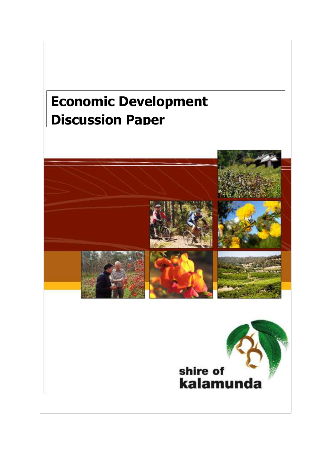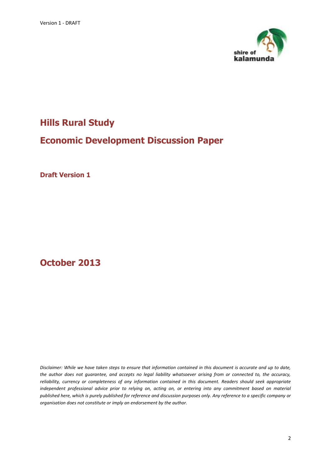

# **Hills Rural Study**

# **Economic Development Discussion Paper**

**Draft Version 1**

**October 2013**

*Disclaimer: While we have taken steps to ensure that information contained in this document is accurate and up to date, the author does not guarantee, and accepts no legal liability whatsoever arising from or connected to, the accuracy, reliability, currency or completeness of any information contained in this document. Readers should seek appropriate*  independent professional advice prior to relying on, acting on, or entering into any commitment based on material *published here, which is purely published for reference and discussion purposes only. Any reference to a specific company or organisation does not constitute or imply an endorsement by the author.*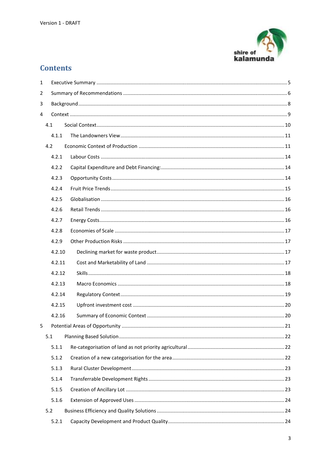

# **Contents**

| $\mathbf{1}$ |     |        |  |  |  |  |  |  |
|--------------|-----|--------|--|--|--|--|--|--|
| 2            |     |        |  |  |  |  |  |  |
| 3            |     |        |  |  |  |  |  |  |
| 4            |     |        |  |  |  |  |  |  |
|              | 4.1 |        |  |  |  |  |  |  |
|              |     | 4.1.1  |  |  |  |  |  |  |
|              | 4.2 |        |  |  |  |  |  |  |
|              |     | 4.2.1  |  |  |  |  |  |  |
|              |     | 4.2.2  |  |  |  |  |  |  |
|              |     | 4.2.3  |  |  |  |  |  |  |
|              |     | 4.2.4  |  |  |  |  |  |  |
|              |     | 4.2.5  |  |  |  |  |  |  |
|              |     | 4.2.6  |  |  |  |  |  |  |
|              |     | 4.2.7  |  |  |  |  |  |  |
|              |     | 4.2.8  |  |  |  |  |  |  |
|              |     | 4.2.9  |  |  |  |  |  |  |
|              |     | 4.2.10 |  |  |  |  |  |  |
|              |     | 4.2.11 |  |  |  |  |  |  |
|              |     | 4.2.12 |  |  |  |  |  |  |
|              |     | 4.2.13 |  |  |  |  |  |  |
|              |     | 4.2.14 |  |  |  |  |  |  |
|              |     | 4.2.15 |  |  |  |  |  |  |
|              |     | 4.2.16 |  |  |  |  |  |  |
| 5            |     |        |  |  |  |  |  |  |
|              | 5.1 |        |  |  |  |  |  |  |
|              |     | 5.1.1  |  |  |  |  |  |  |
|              |     | 5.1.2  |  |  |  |  |  |  |
|              |     | 5.1.3  |  |  |  |  |  |  |
|              |     | 5.1.4  |  |  |  |  |  |  |
|              |     | 5.1.5  |  |  |  |  |  |  |
|              |     | 5.1.6  |  |  |  |  |  |  |
|              | 5.2 |        |  |  |  |  |  |  |
|              |     | 5.2.1  |  |  |  |  |  |  |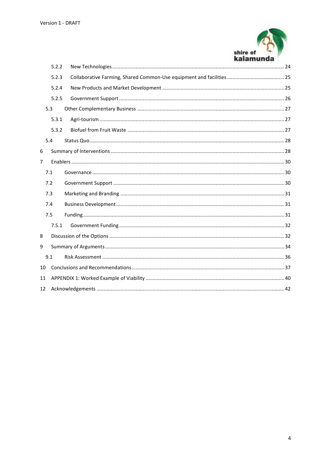

|    | 5.2.2 |  |  |  |
|----|-------|--|--|--|
|    | 5.2.3 |  |  |  |
|    | 5.2.4 |  |  |  |
|    | 5.2.5 |  |  |  |
|    | 5.3   |  |  |  |
|    | 5.3.1 |  |  |  |
|    | 5.3.2 |  |  |  |
|    | 5.4   |  |  |  |
| 6  |       |  |  |  |
| 7  |       |  |  |  |
|    | 7.1   |  |  |  |
|    | 7.2   |  |  |  |
|    | 7.3   |  |  |  |
|    | 7.4   |  |  |  |
|    | 7.5   |  |  |  |
|    | 7.5.1 |  |  |  |
| 8  |       |  |  |  |
| 9  |       |  |  |  |
|    | 9.1   |  |  |  |
| 10 |       |  |  |  |
| 11 |       |  |  |  |
| 12 |       |  |  |  |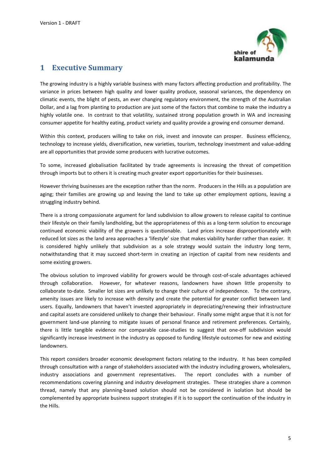

# <span id="page-4-0"></span>**1 Executive Summary**

The growing industry is a highly variable business with many factors affecting production and profitability. The variance in prices between high quality and lower quality produce, seasonal variances, the dependency on climatic events, the blight of pests, an ever changing regulatory environment, the strength of the Australian Dollar, and a lag from planting to production are just some of the factors that combine to make the industry a highly volatile one. In contrast to that volatility, sustained strong population growth in WA and increasing consumer appetite for healthy eating, product variety and quality provide a growing end consumer demand.

Within this context, producers willing to take on risk, invest and innovate can prosper. Business efficiency, technology to increase yields, diversification, new varieties, tourism, technology investment and value-adding are all opportunities that provide some producers with lucrative outcomes.

To some, increased globalisation facilitated by trade agreements is increasing the threat of competition through imports but to others it is creating much greater export opportunities for their businesses.

However thriving businesses are the exception rather than the norm. Producers in the Hills as a population are aging; their families are growing up and leaving the land to take up other employment options, leaving a struggling industry behind.

There is a strong compassionate argument for land subdivision to allow growers to release capital to continue their lifestyle on their family landholding, but the appropriateness of this as a long-term solution to encourage continued economic viability of the growers is questionable. Land prices increase disproportionately with reduced lot sizes as the land area approaches a 'lifestyle' size that makes viability harder rather than easier. It is considered highly unlikely that subdivision as a sole strategy would sustain the industry long term, notwithstanding that it may succeed short-term in creating an injection of capital from new residents and some existing growers.

The obvious solution to improved viability for growers would be through cost-of-scale advantages achieved through collaboration. However, for whatever reasons, landowners have shown little propensity to collaborate to-date. Smaller lot sizes are unlikely to change their culture of independence. To the contrary, amenity issues are likely to increase with density and create the potential for greater conflict between land users. Equally, landowners that haven't invested appropriately in depreciating/renewing their infrastructure and capital assets are considered unlikely to change their behaviour. Finally some might argue that it is not for government land-use planning to mitigate issues of personal finance and retirement preferences. Certainly, there is little tangible evidence nor comparable case-studies to suggest that one-off subdivision would significantly increase investment in the industry as opposed to funding lifestyle outcomes for new and existing landowners.

This report considers broader economic development factors relating to the industry. It has been compiled through consultation with a range of stakeholders associated with the industry including growers, wholesalers, industry associations and government representatives. The report concludes with a number of recommendations covering planning and industry development strategies. These strategies share a common thread, namely that any planning-based solution should not be considered in isolation but should be complemented by appropriate business support strategies if it is to support the continuation of the industry in the Hills.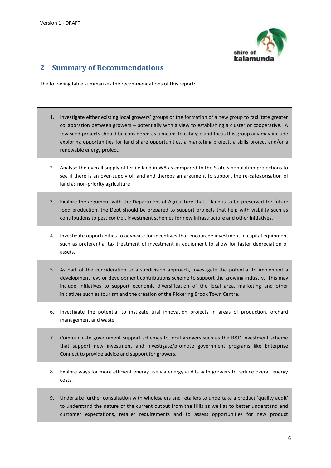

# <span id="page-5-0"></span>**2 Summary of Recommendations**

The following table summarises the recommendations of this report:

- 1. Investigate either existing local growers' groups or the formation of a new group to facilitate greater collaboration between growers – potentially with a view to establishing a cluster or cooperative. A few seed projects should be considered as a means to catalyse and focus this group any may include exploring opportunities for land share opportunities, a marketing project, a skills project and/or a renewable energy project.
- 2. Analyse the overall supply of fertile land in WA as compared to the State's population projections to see if there is an over-supply of land and thereby an argument to support the re-categorisation of land as non-priority agriculture
- 3. Explore the argument with the Department of Agriculture that if land is to be preserved for future food production, the Dept should be prepared to support projects that help with viability such as contributions to pest control, investment schemes for new infrastructure and other initiatives.
- 4. Investigate opportunities to advocate for incentives that encourage investment in capital equipment such as preferential tax treatment of investment in equipment to allow for faster depreciation of assets.
- 5. As part of the consideration to a subdivision approach, investigate the potential to implement a development levy or development contributions scheme to support the growing industry. This may include initiatives to support economic diversification of the local area, marketing and other initiatives such as tourism and the creation of the Pickering Brook Town Centre.
- 6. Investigate the potential to instigate trial innovation projects in areas of production, orchard management and waste
- 7. Communicate government support schemes to local growers such as the R&D investment scheme that support new investment and investigate/promote government programs like Enterprise Connect to provide advice and support for growers.
- 8. Explore ways for more efficient energy use via energy audits with growers to reduce overall energy costs.
- 9. Undertake further consultation with wholesalers and retailers to undertake a product 'quality audit' to understand the nature of the current output from the Hills as well as to better understand end customer expectations, retailer requirements and to assess opportunities for new product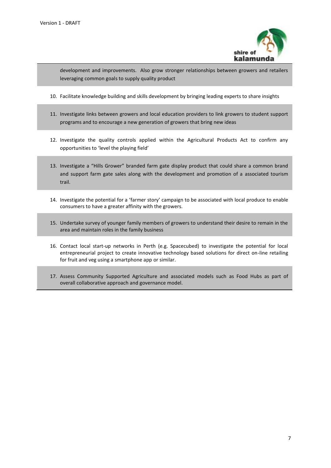

development and improvements. Also grow stronger relationships between growers and retailers leveraging common goals to supply quality product

- 10. Facilitate knowledge building and skills development by bringing leading experts to share insights
- 11. Investigate links between growers and local education providers to link growers to student support programs and to encourage a new generation of growers that bring new ideas
- 12. Investigate the quality controls applied within the Agricultural Products Act to confirm any opportunities to 'level the playing field'
- 13. Investigate a "Hills Grower" branded farm gate display product that could share a common brand and support farm gate sales along with the development and promotion of a associated tourism trail.
- 14. Investigate the potential for a 'farmer story' campaign to be associated with local produce to enable consumers to have a greater affinity with the growers.
- 15. Undertake survey of younger family members of growers to understand their desire to remain in the area and maintain roles in the family business
- 16. Contact local start-up networks in Perth (e.g. Spacecubed) to investigate the potential for local entrepreneurial project to create innovative technology based solutions for direct on-line retailing for fruit and veg using a smartphone app or similar.
- 17. Assess Community Supported Agriculture and associated models such as Food Hubs as part of overall collaborative approach and governance model.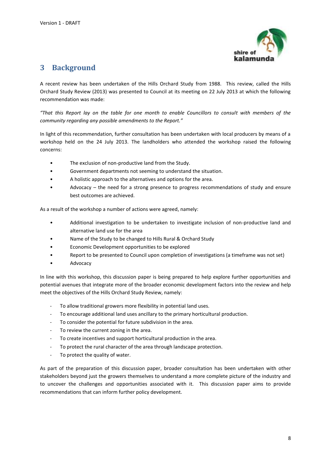

# <span id="page-7-0"></span>**3 Background**

A recent review has been undertaken of the Hills Orchard Study from 1988. This review, called the Hills Orchard Study Review (2013) was presented to Council at its meeting on 22 July 2013 at which the following recommendation was made:

*"That this Report lay on the table for one month to enable Councillors to consult with members of the community regarding any possible amendments to the Report."*

In light of this recommendation, further consultation has been undertaken with local producers by means of a workshop held on the 24 July 2013. The landholders who attended the workshop raised the following concerns:

- The exclusion of non-productive land from the Study.
- Government departments not seeming to understand the situation.
- A holistic approach to the alternatives and options for the area.
- Advocacy the need for a strong presence to progress recommendations of study and ensure best outcomes are achieved.

As a result of the workshop a number of actions were agreed, namely:

- Additional investigation to be undertaken to investigate inclusion of non-productive land and alternative land use for the area
- Name of the Study to be changed to Hills Rural & Orchard Study
- Economic Development opportunities to be explored
- Report to be presented to Council upon completion of investigations (a timeframe was not set)
- Advocacy

In line with this workshop, this discussion paper is being prepared to help explore further opportunities and potential avenues that integrate more of the broader economic development factors into the review and help meet the objectives of the Hills Orchard Study Review, namely:

- To allow traditional growers more flexibility in potential land uses.
- To encourage additional land uses ancillary to the primary horticultural production.
- To consider the potential for future subdivision in the area.
- To review the current zoning in the area.
- To create incentives and support horticultural production in the area.
- To protect the rural character of the area through landscape protection.
- To protect the quality of water.

As part of the preparation of this discussion paper, broader consultation has been undertaken with other stakeholders beyond just the growers themselves to understand a more complete picture of the industry and to uncover the challenges and opportunities associated with it. This discussion paper aims to provide recommendations that can inform further policy development.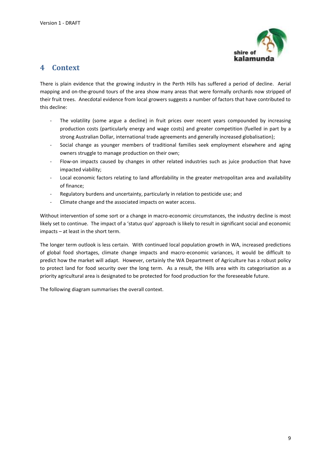

# <span id="page-8-0"></span>**4 Context**

There is plain evidence that the growing industry in the Perth Hills has suffered a period of decline. Aerial mapping and on-the-ground tours of the area show many areas that were formally orchards now stripped of their fruit trees. Anecdotal evidence from local growers suggests a number of factors that have contributed to this decline:

- The volatility (some argue a decline) in fruit prices over recent years compounded by increasing production costs (particularly energy and wage costs) and greater competition (fuelled in part by a strong Australian Dollar, international trade agreements and generally increased globalisation);
- Social change as younger members of traditional families seek employment elsewhere and aging owners struggle to manage production on their own;
- Flow-on impacts caused by changes in other related industries such as juice production that have impacted viability;
- Local economic factors relating to land affordability in the greater metropolitan area and availability of finance;
- Regulatory burdens and uncertainty, particularly in relation to pesticide use; and
- Climate change and the associated impacts on water access.

Without intervention of some sort or a change in macro-economic circumstances, the industry decline is most likely set to continue. The impact of a 'status quo' approach is likely to result in significant social and economic impacts – at least in the short term.

The longer term outlook is less certain. With continued local population growth in WA, increased predictions of global food shortages, climate change impacts and macro-economic variances, it would be difficult to predict how the market will adapt. However, certainly the WA Department of Agriculture has a robust policy to protect land for food security over the long term. As a result, the Hills area with its categorisation as a priority agricultural area is designated to be protected for food production for the foreseeable future.

The following diagram summarises the overall context.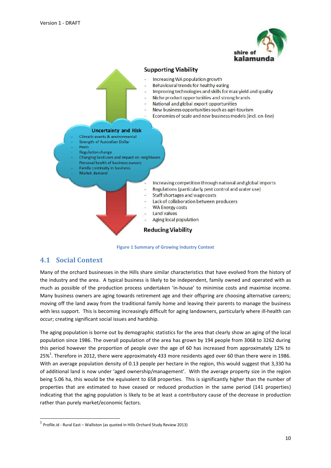

#### **Supporting Viability**

- Increasing WA population growth
- Behavioural trends for healthy eating
- Improving technologies and skills for max yield and quality
- Niche product opportunities and strong brands  $\overline{a}$
- National and global export opportunities
- New business opportunities such as agri-tourism
- Economies of scale and new business models (incl. on-line)

#### **Uncertainty and Risk**

- Climatic events & environmental
- Strength of Australian Dollar
- Pests Regulation change
- Changing land uses and impact on neighbours
- Personal health of business owners
- Family continuity in business
- Market demand
- Increasing competition through national and global imports
- Regulations (particularly pest control and water use)
- Staff shortages and wage costs
- Lack of collaboration between producers
- **WA Energy costs**
- Land values
- Aging local population

### **Reducing Viability**



## <span id="page-9-0"></span>**4.1 Social Context**

1

Many of the orchard businesses in the Hills share similar characteristics that have evolved from the history of the industry and the area. A typical business is likely to be independent, family owned and operated with as much as possible of the production process undertaken 'in-house' to minimise costs and maximise income. Many business owners are aging towards retirement age and their offspring are choosing alternative careers; moving off the land away from the traditional family home and leaving their parents to manage the business with less support. This is becoming increasingly difficult for aging landowners, particularly where ill-health can occur; creating significant social issues and hardship.

The aging population is borne out by demographic statistics for the area that clearly show an aging of the local population since 1986. The overall population of the area has grown by 194 people from 3068 to 3262 during this period however the proportion of people over the age of 60 has increased from approximately 12% to 25%<sup>1</sup>. Therefore in 2012, there were approximately 433 more residents aged over 60 than there were in 1986. With an average population density of 0.13 people per hectare in the region, this would suggest that 3,330 ha of additional land is now under 'aged ownership/management'. With the average property size in the region being 5.06 ha, this would be the equivalent to 658 properties. This is significantly higher than the number of properties that are estimated to have ceased or reduced production in the same period (141 properties) indicating that the aging population is likely to be at least a contributory cause of the decrease in production rather than purely market/economic factors.

 $^1$  Profile.id - Rural East – Walliston (as quoted in Hills Orchard Study Review 2013)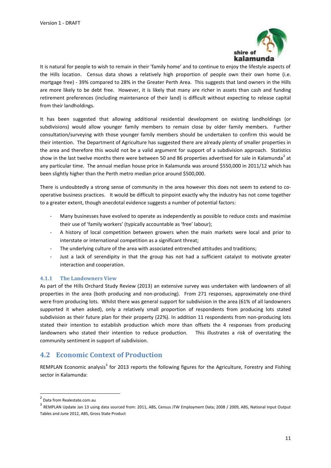

It is natural for people to wish to remain in their 'family home' and to continue to enjoy the lifestyle aspects of the Hills location. Census data shows a relatively high proportion of people own their own home (i.e. mortgage free) - 39% compared to 28% in the Greater Perth Area. This suggests that land owners in the Hills are more likely to be debt free. However, it is likely that many are richer in assets than cash and funding retirement preferences (including maintenance of their land) is difficult without expecting to release capital from their landholdings.

It has been suggested that allowing additional residential development on existing landholdings (or subdivisions) would allow younger family members to remain close by older family members. Further consultation/surveying with those younger family members should be undertaken to confirm this would be their intention. The Department of Agriculture has suggested there are already plenty of smaller properties in the area and therefore this would not be a valid argument for support of a subdivision approach. Statistics show in the last twelve months there were between 50 and 86 properties advertised for sale in Kalamunda<sup>2</sup> at any particular time. The annual median house price in Kalamunda was around \$550,000 in 2011/12 which has been slightly higher than the Perth metro median price around \$500,000.

There is undoubtedly a strong sense of community in the area however this does not seem to extend to cooperative business practices. It would be difficult to pinpoint exactly why the industry has not come together to a greater extent, though anecdotal evidence suggests a number of potential factors:

- Many businesses have evolved to operate as independently as possible to reduce costs and maximise their use of 'family workers' (typically accountable as 'free' labour);
- A history of local competition between growers when the main markets were local and prior to interstate or international competition as a significant threat;
- The underlying culture of the area with associated entrenched attitudes and traditions;
- Just a lack of serendipity in that the group has not had a sufficient catalyst to motivate greater interaction and cooperation.

#### <span id="page-10-0"></span>**4.1.1 The Landowners View**

As part of the Hills Orchard Study Review (2013) an extensive survey was undertaken with landowners of all properties in the area (both producing and non-producing). From 271 responses, approximately one-third were from producing lots. Whilst there was general support for subdivision in the area (61% of all landowners supported it when asked), only a relatively small proportion of respondents from producing lots stated subdivision as their future plan for their property (22%). In addition 11 respondents from non-producing lots stated their intention to establish production which more than offsets the 4 responses from producing landowners who stated their intention to reduce production. This illustrates a risk of overstating the community sentiment in support of subdivision.

## <span id="page-10-1"></span>**4.2 Economic Context of Production**

REMPLAN Economic analysis<sup>3</sup> for 2013 reports the following figures for the Agriculture, Forestry and Fishing sector in Kalamunda:

<sup>&</sup>lt;u>-</u><br><sup>2</sup> Data from Realestate.com.au

<sup>&</sup>lt;sup>3</sup> REMPLAN Update Jan 13 using data sourced from: 2011, ABS, Census JTW Employment Data; 2008 / 2009, ABS, National Input Output Tables and June 2012, ABS, Gross State Product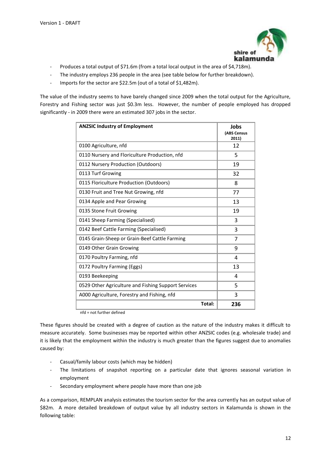

- Produces a total output of \$71.6m (from a total local output in the area of \$4,718m).
- The industry employs 236 people in the area (see table below for further breakdown).
- Imports for the sector are \$22.5m (out of a total of \$1,482m).

The value of the industry seems to have barely changed since 2009 when the total output for the Agriculture, Forestry and Fishing sector was just \$0.3m less. However, the number of people employed has dropped significantly - in 2009 there were an estimated 307 jobs in the sector.

| <b>ANZSIC Industry of Employment</b>                                       | Jobs<br>(ABS Census<br>2011) |
|----------------------------------------------------------------------------|------------------------------|
| 0100 Agriculture, nfd                                                      | 12                           |
| 0110 Nursery and Floriculture Production, nfd                              | 5                            |
| 0112 Nursery Production (Outdoors)                                         | 19                           |
| 0113 Turf Growing                                                          | 32                           |
| 0115 Floriculture Production (Outdoors)                                    | 8                            |
| 0130 Fruit and Tree Nut Growing, nfd                                       | 77                           |
| 0134 Apple and Pear Growing                                                | 13                           |
| 0135 Stone Fruit Growing                                                   | 19                           |
| 0141 Sheep Farming (Specialised)                                           | 3                            |
| 0142 Beef Cattle Farming (Specialised)                                     | 3                            |
| 0145 Grain-Sheep or Grain-Beef Cattle Farming                              | 7                            |
| 0149 Other Grain Growing                                                   | 9                            |
| 0170 Poultry Farming, nfd                                                  | 4                            |
| 0172 Poultry Farming (Eggs)                                                | 13                           |
| 0193 Beekeeping                                                            | 4                            |
| 0529 Other Agriculture and Fishing Support Services                        | 5                            |
| A000 Agriculture, Forestry and Fishing, nfd                                | 3                            |
| Total:<br>$\mathbf{r}$ $\mathbf{r}$ $\mathbf{r}$ $\mathbf{r}$ $\mathbf{r}$ | 236                          |

nfd = not further defined

These figures should be created with a degree of caution as the nature of the industry makes it difficult to measure accurately. Some businesses may be reported within other ANZSIC codes (e.g. wholesale trade) and it is likely that the employment within the industry is much greater than the figures suggest due to anomalies caused by:

- Casual/family labour costs (which may be hidden)
- The limitations of snapshot reporting on a particular date that ignores seasonal variation in employment
- Secondary employment where people have more than one job

As a comparison, REMPLAN analysis estimates the tourism sector for the area currently has an output value of \$82m. A more detailed breakdown of output value by all industry sectors in Kalamunda is shown in the following table: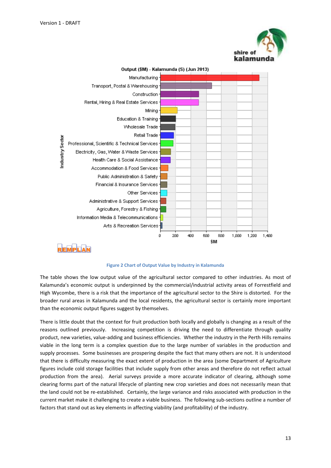



Output (\$M) - Kalamunda (S) (Jun 2013)

#### **Figure 2 Chart of Output Value by Industry in Kalamunda**

The table shows the low output value of the agricultural sector compared to other industries. As most of Kalamunda's economic output is underpinned by the commercial/industrial activity areas of Forrestfield and High Wycombe, there is a risk that the importance of the agricultural sector to the Shire is distorted. For the broader rural areas in Kalamunda and the local residents, the agricultural sector is certainly more important than the economic output figures suggest by themselves.

There is little doubt that the context for fruit production both locally and globally is changing as a result of the reasons outlined previously. Increasing competition is driving the need to differentiate through quality product, new varieties, value-adding and business efficiencies. Whether the industry in the Perth Hills remains viable in the long term is a complex question due to the large number of variables in the production and supply processes. Some businesses are prospering despite the fact that many others are not. It is understood that there is difficulty measuring the exact extent of production in the area (some Department of Agriculture figures include cold storage facilities that include supply from other areas and therefore do not reflect actual production from the area). Aerial surveys provide a more accurate indicator of clearing, although some clearing forms part of the natural lifecycle of planting new crop varieties and does not necessarily mean that the land could not be re-established. Certainly, the large variance and risks associated with production in the current market make it challenging to create a viable business. The following sub-sections outline a number of factors that stand out as key elements in affecting viability (and profitability) of the industry.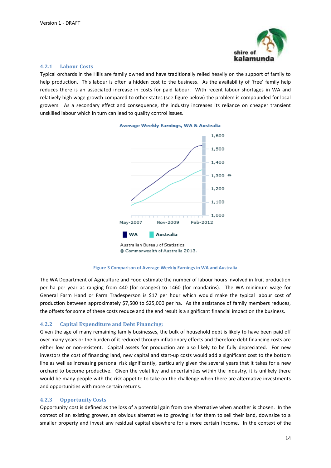

#### <span id="page-13-0"></span>**4.2.1 Labour Costs**

Typical orchards in the Hills are family owned and have traditionally relied heavily on the support of family to help production. This labour is often a hidden cost to the business. As the availability of 'free' family help reduces there is an associated increase in costs for paid labour. With recent labour shortages in WA and relatively high wage growth compared to other states (see figure below) the problem is compounded for local growers. As a secondary effect and consequence, the industry increases its reliance on cheaper transient unskilled labour which in turn can lead to quality control issues.





Commonwealth of Australia 2013.



The WA Department of Agriculture and Food estimate the number of labour hours involved in fruit production per ha per year as ranging from 440 (for oranges) to 1460 (for mandarins). The WA minimum wage for General Farm Hand or Farm Tradesperson is \$17 per hour which would make the typical labour cost of production between approximately \$7,500 to \$25,000 per ha. As the assistance of family members reduces, the offsets for some of these costs reduce and the end result is a significant financial impact on the business.

#### <span id="page-13-1"></span>**4.2.2 Capital Expenditure and Debt Financing:**

Given the age of many remaining family businesses, the bulk of household debt is likely to have been paid off over many years or the burden of it reduced through inflationary effects and therefore debt financing costs are either low or non-existent. Capital assets for production are also likely to be fully depreciated. For new investors the cost of financing land, new capital and start-up costs would add a significant cost to the bottom line as well as increasing personal risk significantly, particularly given the several years that it takes for a new orchard to become productive. Given the volatility and uncertainties within the industry, it is unlikely there would be many people with the risk appetite to take on the challenge when there are alternative investments and opportunities with more certain returns.

#### <span id="page-13-2"></span>**4.2.3 Opportunity Costs**

Opportunity cost is defined as the loss of a potential gain from one alternative when another is chosen. In the context of an existing grower, an obvious alternative to growing is for them to sell their land, downsize to a smaller property and invest any residual capital elsewhere for a more certain income. In the context of the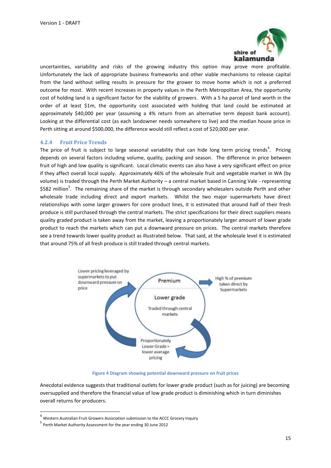

uncertainties, variability and risks of the growing industry this option may prove more profitable. Unfortunately the lack of appropriate business frameworks and other viable mechanisms to release capital from the land without selling results in pressure for the grower to move home which is not a preferred outcome for most. With recent increases in property values in the Perth Metropolitan Area, the opportunity cost of holding land is a significant factor for the viability of growers. With a 5 ha parcel of land worth in the order of at least \$1m, the opportunity cost associated with holding that land could be estimated at approximately \$40,000 per year (assuming a 4% return from an alternative term deposit bank account). Looking at the differential cost (as each landowner needs somewhere to live) and the median house price in Perth sitting at around \$500,000, the difference would still reflect a cost of \$20,000 per year.

#### <span id="page-14-0"></span>**4.2.4 Fruit Price Trends**

The price of fruit is subject to large seasonal variability that can hide long term pricing trends<sup>4</sup>. Pricing depends on several factors including volume, quality, packing and season. The difference in price between fruit of high and low quality is significant. Local climatic events can also have a very significant effect on price if they affect overall local supply. Approximately 46% of the wholesale fruit and vegetable market in WA (by volume) is traded through the Perth Market Authority – a central market based in Canning Vale - representing \$582 million<sup>5</sup>. The remaining share of the market is through secondary wholesalers outside Perth and other wholesale trade including direct and export markets. Whilst the two major supermarkets have direct relationships with some larger growers for core product lines, it is estimated that around half of their fresh produce is still purchased through the central markets. The strict specifications for their direct suppliers means quality graded product is taken away from the market, leaving a proportionately larger amount of lower grade product to reach the markets which can put a downward pressure on prices. The central markets therefore see a trend towards lower quality product as illustrated below. That said, at the wholesale level it is estimated that around 75% of all fresh produce is still traded through central markets.



**Figure 4 Diagram showing potential downward pressure on fruit prices**

Anecdotal evidence suggests that traditional outlets for lower grade product (such as for juicing) are becoming oversupplied and therefore the financial value of low grade product is diminishing which in turn diminishes overall returns for producers.

**.** 

 $<sup>4</sup>$  Western Australian Fruit Growers Association submission to the ACCC Grocery Inquiry</sup>

<sup>5</sup> Perth Market Authority Assessment for the year ending 30 June 2012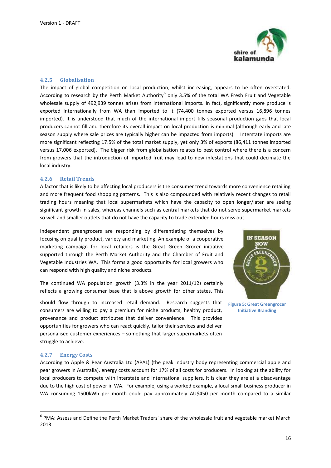

#### <span id="page-15-0"></span>**4.2.5 Globalisation**

The impact of global competition on local production, whilst increasing, appears to be often overstated. According to research by the Perth Market Authority<sup>6</sup> only 3.5% of the total WA Fresh Fruit and Vegetable wholesale supply of 492,939 tonnes arises from international imports. In fact, significantly more produce is exported internationally from WA than imported to it (74,400 tonnes exported versus 16,896 tonnes imported). It is understood that much of the international import fills seasonal production gaps that local producers cannot fill and therefore its overall impact on local production is minimal (although early and late season supply where sale prices are typically higher can be impacted from imports). Interstate imports are more significant reflecting 17.5% of the total market supply, yet only 3% of exports (86,411 tonnes imported versus 17,006 exported). The bigger risk from globalisation relates to pest control where there is a concern from growers that the introduction of imported fruit may lead to new infestations that could decimate the local industry.

#### <span id="page-15-1"></span>**4.2.6 Retail Trends**

A factor that is likely to be affecting local producers is the consumer trend towards more convenience retailing and more frequent food shopping patterns. This is also compounded with relatively recent changes to retail trading hours meaning that local supermarkets which have the capacity to open longer/later are seeing significant growth in sales, whereas channels such as central markets that do not serve supermarket markets so well and smaller outlets that do not have the capacity to trade extended hours miss out.

Independent greengrocers are responding by differentiating themselves by focusing on quality product, variety and marketing. An example of a cooperative marketing campaign for local retailers is the Great Green Grocer initiative supported through the Perth Market Authority and the Chamber of Fruit and Vegetable Industries WA. This forms a good opportunity for local growers who can respond with high quality and niche products.

The continued WA population growth (3.3% in the year 2011/12) certainly reflects a growing consumer base that is above growth for other states. This

should flow through to increased retail demand. Research suggests that consumers are willing to pay a premium for niche products, healthy product, provenance and product attributes that deliver convenience. This provides opportunities for growers who can react quickly, tailor their services and deliver personalised customer experiences – something that larger supermarkets often struggle to achieve.



**Figure 5: Great Greengrocer Initiative Branding**

#### <span id="page-15-2"></span>**4.2.7 Energy Costs**

**.** 

According to Apple & Pear Australia Ltd (APAL) (the peak industry body representing commercial apple and pear growers in Australia), energy costs account for 17% of all costs for producers. In looking at the ability for local producers to compete with interstate and international suppliers, it is clear they are at a disadvantage due to the high cost of power in WA. For example, using a worked example, a local small business producer in WA consuming 1500kWh per month could pay approximately AU\$450 per month compared to a similar

<sup>&</sup>lt;sup>6</sup> PMA: Assess and Define the Perth Market Traders' share of the wholesale fruit and vegetable market March 2013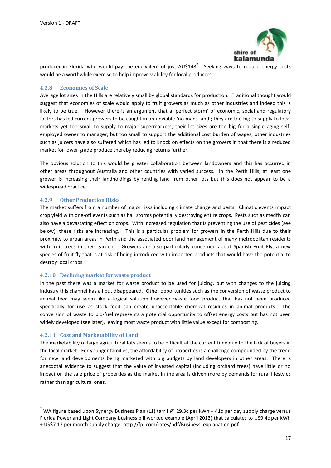

producer in Florida who would pay the equivalent of just AU\$148<sup>7</sup>. Seeking ways to reduce energy costs would be a worthwhile exercise to help improve viability for local producers.

#### <span id="page-16-0"></span>**4.2.8 Economies of Scale**

Average lot sizes in the Hills are relatively small by global standards for production. Traditional thought would suggest that economies of scale would apply to fruit growers as much as other industries and indeed this is likely to be true. However there is an argument that a 'perfect storm' of economic, social and regulatory factors has led current growers to be caught in an unviable 'no-mans-land'; they are too big to supply to local markets yet too small to supply to major supermarkets; their lot sizes are too big for a single aging selfemployed owner to manager, but too small to support the additional cost burden of wages; other industries such as juicers have also suffered which has led to knock on effects on the growers in that there is a reduced market for lower grade produce thereby reducing returns further.

The obvious solution to this would be greater collaboration between landowners and this has occurred in other areas throughout Australia and other countries with varied success. In the Perth Hills, at least one grower is increasing their landholdings by renting land from other lots but this does not appear to be a widespread practice.

#### <span id="page-16-1"></span>**4.2.9 Other Production Risks**

The market suffers from a number of major risks including climate change and pests. Climatic events impact crop yield with one-off events such as hail storms potentially destroying entire crops. Pests such as medfly can also have a devastating effect on crops. With increased regulation that is preventing the use of pesticides (see below), these risks are increasing. This is a particular problem for growers in the Perth Hills due to their proximity to urban areas in Perth and the associated poor land management of many metropolitan residents with fruit trees in their gardens. Growers are also particularly concerned about Spanish Fruit Fly, a new species of fruit fly that is at risk of being introduced with imported products that would have the potential to destroy local crops.

#### <span id="page-16-2"></span>**4.2.10 Declining market for waste product**

In the past there was a market for waste product to be used for juicing, but with changes to the juicing industry this channel has all but disappeared. Other opportunities such as the conversion of waste product to animal feed may seem like a logical solution however waste food product that has not been produced specifically for use as stock feed can create unacceptable chemical residues in animal products. The conversion of waste to bio-fuel represents a potential opportunity to offset energy costs but has not been widely developed (see later), leaving most waste product with little value except for composting.

#### <span id="page-16-3"></span>**4.2.11 Cost and Marketability of Land**

1

The marketability of large agricultural lots seems to be difficult at the current time due to the lack of buyers in the local market. For younger families, the affordability of properties is a challenge compounded by the trend for new land developments being marketed with big budgets by land developers in other areas. There is anecdotal evidence to suggest that the value of invested capital (including orchard trees) have little or no impact on the sale price of properties as the market in the area is driven more by demands for rural lifestyles rather than agricultural ones.

<sup>&</sup>lt;sup>7</sup> WA figure based upon Synergy Business Plan (L1) tarrif @ 29.3c per kWh + 41c per day supply charge versus Florida Power and Light Company business bill worked example (April 2013) that calculates to US9.4c per kWh + US\$7.13 per month supply charge. http://fpl.com/rates/pdf/Business\_explanation.pdf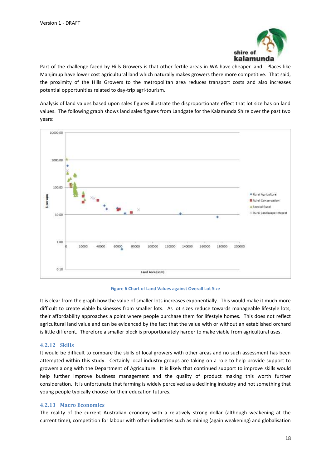

Part of the challenge faced by Hills Growers is that other fertile areas in WA have cheaper land. Places like Manjimup have lower cost agricultural land which naturally makes growers there more competitive. That said, the proximity of the Hills Growers to the metropolitan area reduces transport costs and also increases potential opportunities related to day-trip agri-tourism.

Analysis of land values based upon sales figures illustrate the disproportionate effect that lot size has on land values. The following graph shows land sales figures from Landgate for the Kalamunda Shire over the past two years:



**Figure 6 Chart of Land Values against Overall Lot Size**

It is clear from the graph how the value of smaller lots increases exponentially. This would make it much more difficult to create viable businesses from smaller lots. As lot sizes reduce towards manageable lifestyle lots, their affordability approaches a point where people purchase them for lifestyle homes. This does not reflect agricultural land value and can be evidenced by the fact that the value with or without an established orchard is little different. Therefore a smaller block is proportionately harder to make viable from agricultural uses.

#### <span id="page-17-0"></span>**4.2.12 Skills**

It would be difficult to compare the skills of local growers with other areas and no such assessment has been attempted within this study. Certainly local industry groups are taking on a role to help provide support to growers along with the Department of Agriculture. It is likely that continued support to improve skills would help further improve business management and the quality of product making this worth further consideration. It is unfortunate that farming is widely perceived as a declining industry and not something that young people typically choose for their education futures.

#### <span id="page-17-1"></span>**4.2.13 Macro Economics**

The reality of the current Australian economy with a relatively strong dollar (although weakening at the current time), competition for labour with other industries such as mining (again weakening) and globalisation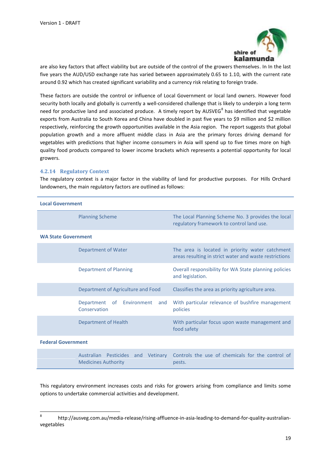

are also key factors that affect viability but are outside of the control of the growers themselves. In In the last five years the AUD/USD exchange rate has varied between approximately 0.65 to 1.10, with the current rate around 0.92 which has created significant variability and a currency risk relating to foreign trade.

These factors are outside the control or influence of Local Government or local land owners. However food security both locally and globally is currently a well-considered challenge that is likely to underpin a long term need for productive land and associated produce. A timely report by AUSVEG<sup>8</sup> has identified that vegetable exports from Australia to South Korea and China have doubled in past five years to \$9 million and \$2 million respectively, reinforcing the growth opportunities available in the Asia region. The report suggests that global population growth and a more affluent middle class in Asia are the primary forces driving demand for vegetables with predictions that higher income consumers in Asia will spend up to five times more on high quality food products compared to lower income brackets which represents a potential opportunity for local growers.

#### <span id="page-18-0"></span>**4.2.14 Regulatory Context**

The regulatory context is a major factor in the viability of land for productive purposes. For Hills Orchard landowners, the main regulatory factors are outlined as follows:

| <b>Local Government</b>                                                       |                                                                                                           |  |  |  |  |
|-------------------------------------------------------------------------------|-----------------------------------------------------------------------------------------------------------|--|--|--|--|
| <b>Planning Scheme</b>                                                        | The Local Planning Scheme No. 3 provides the local<br>regulatory framework to control land use.           |  |  |  |  |
| <b>WA State Government</b>                                                    |                                                                                                           |  |  |  |  |
| Department of Water                                                           | The area is located in priority water catchment<br>areas resulting in strict water and waste restrictions |  |  |  |  |
| <b>Department of Planning</b>                                                 | Overall responsibility for WA State planning policies<br>and legislation.                                 |  |  |  |  |
| Department of Agriculture and Food                                            | Classifies the area as priority agriculture area.                                                         |  |  |  |  |
| Department of Environment<br>and<br>Conservation                              | With particular relevance of bushfire management<br>policies                                              |  |  |  |  |
| Department of Health                                                          | With particular focus upon waste management and<br>food safety                                            |  |  |  |  |
| <b>Federal Government</b>                                                     |                                                                                                           |  |  |  |  |
| <b>Australian</b><br>Pesticides and<br>Vetinary<br><b>Medicines Authority</b> | Controls the use of chemicals for the control of<br>pests.                                                |  |  |  |  |

This regulatory environment increases costs and risks for growers arising from compliance and limits some options to undertake commercial activities and development.

<sup>-&</sup>lt;br>8 http://ausveg.com.au/media-release/rising-affluence-in-asia-leading-to-demand-for-quality-australianvegetables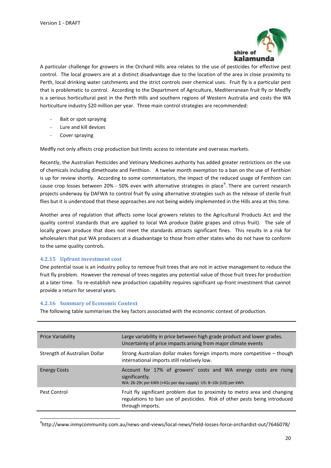

A particular challenge for growers in the Orchard Hills area relates to the use of pesticides for effective pest control. The local growers are at a distinct disadvantage due to the location of the area in close proximity to Perth, local drinking water catchments and the strict controls over chemical uses. Fruit fly is a particular pest that is problematic to control. According to the Department of Agriculture, Mediterranean fruit fly or Medfly is a serious horticultural pest in the Perth Hills and southern regions of Western Australia and costs the WA horticulture industry \$20 million per year. Three main control strategies are recommended:

- Bait or spot spraying
- Lure and kill devices
- Cover spraying

Medfly not only affects crop production but limits access to interstate and overseas markets.

Recently, the Australian Pesticides and Vetinary Medicines authority has added greater restrictions on the use of chemicals including dimethoate and Fenthion. A twelve month exemption to a ban on the use of Fenthion is up for review shortly. According to some commentators, the impact of the reduced usage of Fenthion can cause crop losses between 20% - 50% even with alternative strategies in place<sup>9</sup>. There are current research projects underway by DAFWA to control fruit fly using alternative strategies such as the release of sterile fruit flies but it is understood that these approaches are not being widely implemented in the Hills area at this time.

Another area of regulation that affects some local growers relates to the Agricultural Products Act and the quality control standards that are applied to local WA produce (table grapes and citrus fruit). The sale of locally grown produce that does not meet the standards attracts significant fines. This results in a risk for wholesalers that put WA producers at a disadvantage to those from other states who do not have to conform to the same quality controls.

#### <span id="page-19-0"></span>**4.2.15 Upfront investment cost**

One potential issue is an industry policy to remove fruit trees that are not in active management to reduce the fruit fly problem. However the removal of trees negates any potential value of those fruit trees for production at a later time. To re-establish new production capability requires significant up-front investment that cannot provide a return for several years.

#### <span id="page-19-1"></span>**4.2.16 Summary of Economic Context**

1

The following table summarises the key factors associated with the economic context of production.

| <b>Price Variability</b>      | Large variability in price between high grade product and lower grades.<br>Uncertainty of price impacts arising from major climate events                                   |  |  |
|-------------------------------|-----------------------------------------------------------------------------------------------------------------------------------------------------------------------------|--|--|
| Strength of Australian Dollar | Strong Australian dollar makes foreign imports more competitive - though<br>international imports still relatively low.                                                     |  |  |
| <b>Energy Costs</b>           | Account for 17% of growers' costs and WA energy costs are rising<br>significantly.<br>WA: 26-29c per kWh (+41c per day supply) US: 8-10c (US) per kWh                       |  |  |
| Pest Control                  | Fruit fly significant problem due to proximity to metro area and changing<br>regulations to ban use of pesticides. Risk of other pests being introduced<br>through imports. |  |  |

9 http://www.inmycommunity.com.au/news-and-views/local-news/Yield-losses-force-orchardist-out/7646078/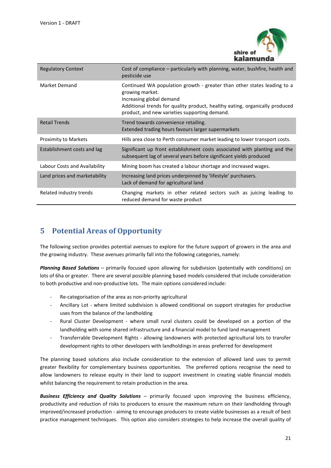

| <b>Regulatory Context</b>     | Cost of compliance – particularly with planning, water, bushfire, health and<br>pesticide use                                                                                                                                                          |  |  |
|-------------------------------|--------------------------------------------------------------------------------------------------------------------------------------------------------------------------------------------------------------------------------------------------------|--|--|
| Market Demand                 | Continued WA population growth - greater than other states leading to a<br>growing market.<br>Increasing global demand<br>Additional trends for quality product, healthy eating, organically produced<br>product, and new varieties supporting demand. |  |  |
| <b>Retail Trends</b>          | Trend towards convenience retailing.<br>Extended trading hours favours larger supermarkets                                                                                                                                                             |  |  |
| <b>Proximity to Markets</b>   | Hills area close to Perth consumer market leading to lower transport costs.                                                                                                                                                                            |  |  |
| Establishment costs and lag   | Significant up front establishment costs associated with planting and the<br>subsequent lag of several years before significant yields produced                                                                                                        |  |  |
| Labour Costs and Availability | Mining boom has created a labour shortage and increased wages.                                                                                                                                                                                         |  |  |
| Land prices and marketability | Increasing land prices underpinned by 'lifestyle' purchasers.<br>Lack of demand for agricultural land                                                                                                                                                  |  |  |
| Related industry trends       | Changing markets in other related sectors such as juicing leading to<br>reduced demand for waste product                                                                                                                                               |  |  |

# <span id="page-20-0"></span>**5 Potential Areas of Opportunity**

The following section provides potential avenues to explore for the future support of growers in the area and the growing industry. These avenues primarily fall into the following categories, namely:

*Planning Based Solutions* – primarily focused upon allowing for subdivision (potentially with conditions) on lots of 6ha or greater. There are several possible planning based models considered that include consideration to both productive and non-productive lots. The main options considered include:

- Re-categorisation of the area as non-priority agricultural
- Ancillary Lot where limited subdivision is allowed conditional on support strategies for productive uses from the balance of the landholding
- Rural Cluster Development where small rural clusters could be developed on a portion of the landholding with some shared infrastructure and a financial model to fund land management
- Transferrable Development Rights allowing landowners with protected agricultural lots to transfer development rights to other developers with landholdings in areas preferred for development

The planning based solutions also include consideration to the extension of allowed land uses to permit greater flexibility for complementary business opportunities. The preferred options recognise the need to allow landowners to release equity in their land to support investment in creating viable financial models whilst balancing the requirement to retain production in the area.

*Business Efficiency and Quality Solutions* – primarily focused upon improving the business efficiency, productivity and reduction of risks to producers to ensure the maximum return on their landholding through improved/increased production - aiming to encourage producers to create viable businesses as a result of best practice management techniques. This option also considers strategies to help increase the overall quality of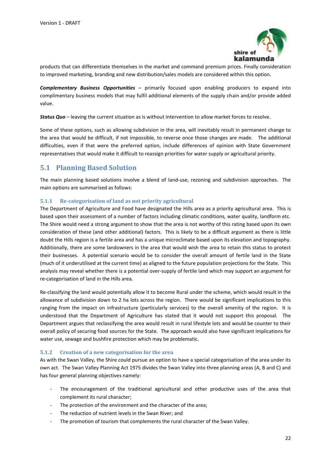

products that can differentiate themselves in the market and command premium prices. Finally consideration to improved marketing, branding and new distribution/sales models are considered within this option.

*Complementary Business Opportunities* – primarily focused upon enabling producers to expand into complimentary business models that may fulfil additional elements of the supply chain and/or provide added value.

*Status Quo* – leaving the current situation as is without intervention to allow market forces to resolve.

Some of these options, such as allowing subdivision in the area, will inevitably result in permanent change to the area that would be difficult, if not impossible, to reverse once those changes are made. The additional difficulties, even if that were the preferred option, include differences of opinion with State Government representatives that would make it difficult to reassign priorities for water supply or agricultural priority.

## <span id="page-21-0"></span>**5.1 Planning Based Solution**

The main planning based solutions involve a blend of land-use, rezoning and subdivision approaches. The main options are summarised as follows:

### <span id="page-21-1"></span>**5.1.1 Re-categorisation of land as not priority agricultural**

The Department of Agriculture and Food have designated the Hills area as a priority agricultural area. This is based upon their assessment of a number of factors including climatic conditions, water quality, landform etc. The Shire would need a strong argument to show that the area is not worthy of this rating based upon its own consideration of these (and other additional) factors. This is likely to be a difficult argument as there is little doubt the Hills region is a fertile area and has a unique microclimate based upon its elevation and topography. Additionally, there are some landowners in the area that would wish the area to retain this status to protect their businesses. A potential scenario would be to consider the overall amount of fertile land in the State (much of it underutilised at the current time) as aligned to the future population projections for the State. This analysis may reveal whether there is a potential over-supply of fertile land which may support an argument for re-categorisation of land in the Hills area.

Re-classifying the land would potentially allow it to become Rural under the scheme, which would result in the allowance of subdivision down to 2 ha lots across the region. There would be significant implications to this ranging from the impact on infrastructure (particularly services) to the overall amenity of the region. It is understood that the Department of Agriculture has stated that it would not support this proposal. The Department argues that reclassifying the area would result in rural lifestyle lots and would be counter to their overall policy of securing food sources for the State. The approach would also have significant implications for water use, sewage and bushfire protection which may be problematic.

#### <span id="page-21-2"></span>**5.1.2 Creation of a new categorisation for the area**

As with the Swan Valley, the Shire could pursue an option to have a special categorisation of the area under its own act. The Swan Valley Planning Act 1975 divides the Swan Valley into three planning areas (A, B and C) and has four general planning objectives namely:

- The encouragement of the traditional agricultural and other productive uses of the area that complement its rural character;
- The protection of the environment and the character of the area;
- The reduction of nutrient levels in the Swan River; and
- The promotion of tourism that complements the rural character of the Swan Valley.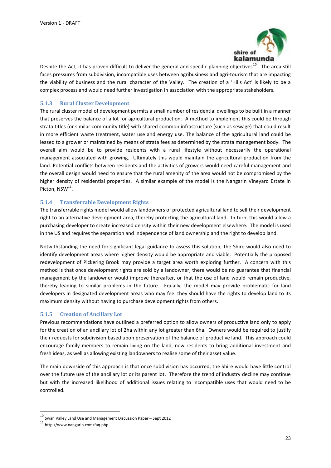

Despite the Act, it has proven difficult to deliver the general and specific planning objectives<sup>10</sup>. The area still faces pressures from subdivision, incompatible uses between agribusiness and agri-tourism that are impacting the viability of business and the rural character of the Valley. The creation of a 'Hills Act' is likely to be a complex process and would need further investigation in association with the appropriate stakeholders.

### <span id="page-22-0"></span>**5.1.3 Rural Cluster Development**

The rural cluster model of development permits a small number of residential dwellings to be built in a manner that preserves the balance of a lot for agricultural production. A method to implement this could be through strata titles (or similar community title) with shared common infrastructure (such as sewage) that could result in more efficient waste treatment, water use and energy use. The balance of the agricultural land could be leased to a grower or maintained by means of strata fees as determined by the strata management body. The overall aim would be to provide residents with a rural lifestyle without necessarily the operational management associated with growing. Ultimately this would maintain the agricultural production from the land. Potential conflicts between residents and the activities of growers would need careful management and the overall design would need to ensure that the rural amenity of the area would not be compromised by the higher density of residential properties. A similar example of the model is the Nangarin Vineyard Estate in Picton, NSW<sup>11</sup>.

#### <span id="page-22-1"></span>**5.1.4 Transferrable Development Rights**

The transferrable rights model would allow landowners of protected agricultural land to sell their development right to an alternative development area, thereby protecting the agricultural land. In turn, this would allow a purchasing developer to create increased density within their new development elsewhere. The model is used in the US and requires the separation and independence of land ownership and the right to develop land.

Notwithstanding the need for significant legal guidance to assess this solution, the Shire would also need to identify development areas where higher density would be appropriate and viable. Potentially the proposed redevelopment of Pickering Brook may provide a target area worth exploring further. A concern with this method is that once development rights are sold by a landowner, there would be no guarantee that financial management by the landowner would improve thereafter, or that the use of land would remain productive, thereby leading to similar problems in the future. Equally, the model may provide problematic for land developers in designated development areas who may feel they should have the rights to develop land to its maximum density without having to purchase development rights from others.

#### <span id="page-22-2"></span>**5.1.5 Creation of Ancillary Lot**

Previous recommendations have outlined a preferred option to allow owners of productive land only to apply for the creation of an ancillary lot of 2ha within any lot greater than 6ha. Owners would be required to justify their requests for subdivision based upon preservation of the balance of productive land. This approach could encourage family members to remain living on the land, new residents to bring additional investment and fresh ideas, as well as allowing existing landowners to realise some of their asset value.

The main downside of this approach is that once subdivision has occurred, the Shire would have little control over the future use of the ancillary lot or its parent lot. Therefore the trend of industry decline may continue but with the increased likelihood of additional issues relating to incompatible uses that would need to be controlled.

**.** 

<sup>10</sup> Swan Valley Land Use and Management Discussion Paper – Sept 2012

<sup>11</sup> http://www.nangarin.com/faq.php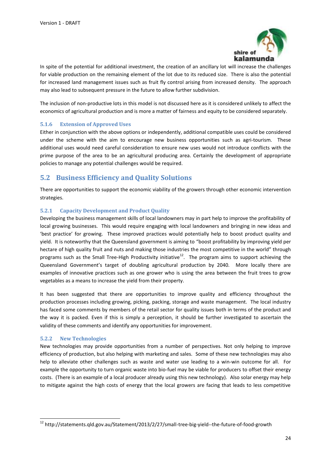

In spite of the potential for additional investment, the creation of an ancillary lot will increase the challenges for viable production on the remaining element of the lot due to its reduced size. There is also the potential for increased land management issues such as fruit fly control arising from increased density. The approach may also lead to subsequent pressure in the future to allow further subdivision.

The inclusion of non-productive lots in this model is not discussed here as it is considered unlikely to affect the economics of agricultural production and is more a matter of fairness and equity to be considered separately.

#### <span id="page-23-0"></span>**5.1.6 Extension of Approved Uses**

Either in conjunction with the above options or independently, additional compatible uses could be considered under the scheme with the aim to encourage new business opportunities such as agri-tourism. These additional uses would need careful consideration to ensure new uses would not introduce conflicts with the prime purpose of the area to be an agricultural producing area. Certainly the development of appropriate policies to manage any potential challenges would be required.

### <span id="page-23-1"></span>**5.2 Business Efficiency and Quality Solutions**

There are opportunities to support the economic viability of the growers through other economic intervention strategies.

### <span id="page-23-2"></span>**5.2.1 Capacity Development and Product Quality**

Developing the business management skills of local landowners may in part help to improve the profitability of local growing businesses. This would require engaging with local landowners and bringing in new ideas and 'best practice' for growing. These improved practices would potentially help to boost product quality and yield. It is noteworthy that the Queensland government is aiming to "boost profitability by improving yield per hectare of high quality fruit and nuts and making those industries the most competitive in the world" through programs such as the Small Tree-High Productivity initiative<sup>12</sup>. The program aims to support achieving the Queensland Government's target of doubling agricultural production by 2040. More locally there are examples of innovative practices such as one grower who is using the area between the fruit trees to grow vegetables as a means to increase the yield from their property.

It has been suggested that there are opportunities to improve quality and efficiency throughout the production processes including growing, picking, packing, storage and waste management. The local industry has faced some comments by members of the retail sector for quality issues both in terms of the product and the way it is packed. Even if this is simply a perception, it should be further investigated to ascertain the validity of these comments and identify any opportunities for improvement.

#### <span id="page-23-3"></span>**5.2.2 New Technologies**

1

New technologies may provide opportunities from a number of perspectives. Not only helping to improve efficiency of production, but also helping with marketing and sales. Some of these new technologies may also help to alleviate other challenges such as waste and water use leading to a win-win outcome for all. For example the opportunity to turn organic waste into bio-fuel may be viable for producers to offset their energy costs. (There is an example of a local producer already using this new technology). Also solar energy may help to mitigate against the high costs of energy that the local growers are facing that leads to less competitive

<sup>&</sup>lt;sup>12</sup> http://statements.qld.gov.au/Statement/2013/2/27/small-tree-big-yield--the-future-of-food-growth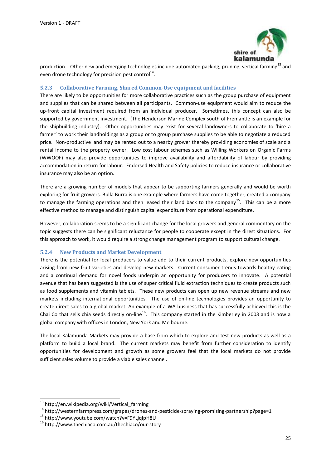

production. Other new and emerging technologies include automated packing, pruning, vertical farming<sup>13</sup> and even drone technology for precision pest control<sup>14</sup>.

#### <span id="page-24-0"></span>**5.2.3 Collaborative Farming, Shared Common-Use equipment and facilities**

There are likely to be opportunities for more collaborative practices such as the group purchase of equipment and supplies that can be shared between all participants. Common-use equipment would aim to reduce the up-front capital investment required from an individual producer. Sometimes, this concept can also be supported by government investment. (The Henderson Marine Complex south of Fremantle is an example for the shipbuilding industry). Other opportunities may exist for several landowners to collaborate to 'hire a farmer' to work their landholdings as a group or to group purchase supplies to be able to negotiate a reduced price. Non-productive land may be rented out to a nearby grower thereby providing economies of scale and a rental income to the property owner. Low cost labour schemes such as Willing Workers on Organic Farms (WWOOF) may also provide opportunities to improve availability and affordability of labour by providing accommodation in return for labour. Endorsed Health and Safety policies to reduce insurance or collaborative insurance may also be an option.

There are a growing number of models that appear to be supporting farmers generally and would be worth exploring for fruit growers. Bulla Burra is one example where farmers have come together, created a company to manage the farming operations and then leased their land back to the company<sup>15</sup>. This can be a more effective method to manage and distinguish capital expenditure from operational expenditure.

However, collaboration seems to be a significant change for the local growers and general commentary on the topic suggests there can be significant reluctance for people to cooperate except in the direst situations. For this approach to work, it would require a strong change management program to support cultural change.

#### <span id="page-24-1"></span>**5.2.4 New Products and Market Development**

There is the potential for local producers to value add to their current products, explore new opportunities arising from new fruit varieties and develop new markets. Current consumer trends towards healthy eating and a continual demand for novel foods underpin an opportunity for producers to innovate. A potential avenue that has been suggested is the use of super critical fluid extraction techniques to create products such as food supplements and vitamin tablets. These new products can open up new revenue streams and new markets including international opportunities. The use of on-line technologies provides an opportunity to create direct sales to a global market. An example of a WA business that has successfully achieved this is the Chai Co that sells chia seeds directly on-line<sup>16</sup>. This company started in the Kimberley in 2003 and is now a global company with offices in London, New York and Melbourne.

The local Kalamunda Markets may provide a base from which to explore and test new products as well as a platform to build a local brand. The current markets may benefit from further consideration to identify opportunities for development and growth as some growers feel that the local markets do not provide sufficient sales volume to provide a viable sales channel.

**.** 

<sup>&</sup>lt;sup>13</sup> http://en.wikipedia.org/wiki/Vertical\_farming

<sup>14</sup> http://westernfarmpress.com/grapes/drones-and-pesticide-spraying-promising-partnership?page=1

<sup>15</sup> http://www.youtube.com/watch?v=F9YLjqIpH8U

<sup>16</sup> http://www.thechiaco.com.au/thechiaco/our-story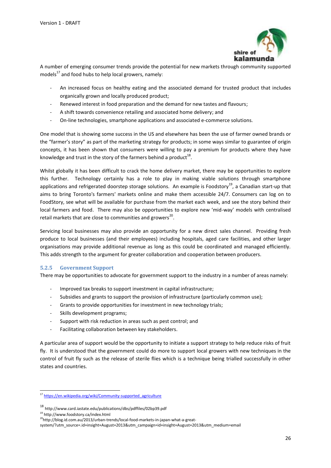

A number of emerging consumer trends provide the potential for new markets through community supported models $^{17}$  and food hubs to help local growers, namely:

- An increased focus on healthy eating and the associated demand for trusted product that includes organically grown and locally produced product;
- Renewed interest in food preparation and the demand for new tastes and flavours;
- A shift towards convenience retailing and associated home delivery; and
- On-line technologies, smartphone applications and associated e-commerce solutions.

One model that is showing some success in the US and elsewhere has been the use of farmer owned brands or the "farmer's story" as part of the marketing strategy for products; in some ways similar to guarantee of origin concepts, it has been shown that consumers were willing to pay a premium for products where they have knowledge and trust in the story of the farmers behind a product<sup>18</sup>.

Whilst globally it has been difficult to crack the home delivery market, there may be opportunities to explore this further. Technology certainly has a role to play in making viable solutions through smartphone applications and refrigerated doorstep storage solutions. An example is Foodstory<sup>19</sup>, a Canadian start-up that aims to bring Toronto's farmers' markets online and make them accessible 24/7. Consumers can log on to FoodStory, see what will be available for purchase from the market each week, and see the story behind their local farmers and food. There may also be opportunities to explore new 'mid-way' models with centralised retail markets that are close to communities and growers<sup>20</sup>.

Servicing local businesses may also provide an opportunity for a new direct sales channel. Providing fresh produce to local businesses (and their employees) including hospitals, aged care facilities, and other larger organisations may provide additional revenue as long as this could be coordinated and managed efficiently. This adds strength to the argument for greater collaboration and cooperation between producers.

#### <span id="page-25-0"></span>**5.2.5 Government Support**

There may be opportunities to advocate for government support to the industry in a number of areas namely:

- Improved tax breaks to support investment in capital infrastructure;
- Subsidies and grants to support the provision of infrastructure (particularly common use);
- Grants to provide opportunities for investment in new technology trials;
- Skills development programs;
- Support with risk reduction in areas such as pest control; and
- Facilitating collaboration between key stakeholders.

A particular area of support would be the opportunity to initiate a support strategy to help reduce risks of fruit fly. It is understood that the government could do more to support local growers with new techniques in the control of fruit fly such as the release of sterile flies which is a technique being trialled successfully in other states and countries.

<sup>19</sup> http://www.foodstory.ca/index.html

**-**

<sup>&</sup>lt;sup>17</sup> https://en.wikipedia.org/wiki/Community-supported agriculture

<sup>18</sup> http://www.card.iastate.edu/publications/dbs/pdffiles/02bp39.pdf

<sup>&</sup>lt;sup>20</sup>http://blog.id.com.au/2013/urban-trends/local-food-markets-in-japan-what-a-great-

system/?utm\_source=.id+insight+August+2013&utm\_campaign=id+insight+August+2013&utm\_medium=email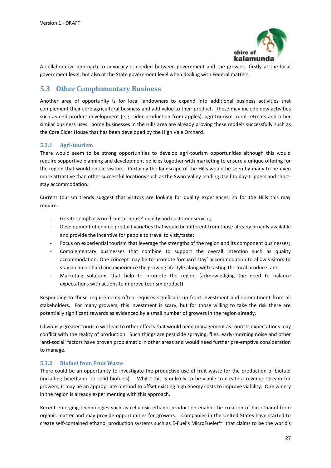

A collaborative approach to advocacy is needed between government and the growers, firstly at the local government level, but also at the State government level when dealing with Federal matters.

## <span id="page-26-0"></span>**5.3 Other Complementary Business**

Another area of opportunity is for local landowners to expand into additional business activities that complement their core agricultural business and add value to their product. These may include new activities such as end product development (e.g. cider production from apples), agri-tourism, rural retreats and other similar business uses. Some businesses in the Hills area are already proving these models successfully such as the Core Cider House that has been developed by the High Vale Orchard.

### <span id="page-26-1"></span>**5.3.1 Agri-tourism**

There would seem to be strong opportunities to develop agri-tourism opportunities although this would require supportive planning and development policies together with marketing to ensure a unique offering for the region that would entice visitors. Certainly the landscape of the Hills would be seen by many to be even more attractive than other successful locations such as the Swan Valley lending itself to day-trippers and shortstay accommodation.

Current tourism trends suggest that visitors are looking for quality experiences, so for the Hills this may require:

- Greater emphasis on 'front or house' quality and customer service;
- Development of unique product varieties that would be different from those already broadly available and provide the incentive for people to travel to visit/taste;
- Focus on experiential tourism that leverage the strengths of the region and its component businesses;
- Complementary businesses that combine to support the overall intention such as quality accommodation. One concept may be to promote 'orchard stay' accommodation to allow visitors to stay on an orchard and experience the growing lifestyle along with tasting the local produce; and
- Marketing solutions that help to promote the region (acknowledging the need to balance expectations with actions to improve tourism product).

Responding to these requirements often requires significant up-front investment and commitment from all stakeholders. For many growers, this investment is scary, but for those willing to take the risk there are potentially significant rewards as evidenced by a small number of growers in the region already.

Obviously greater tourism will lead to other effects that would need management as tourists expectations may conflict with the reality of production. Such things are pesticide spraying, flies, early-morning noise and other 'anti-social' factors have proven problematic in other areas and would need further pre-emptive consideration to manage.

#### <span id="page-26-2"></span>**5.3.2 Biofuel from Fruit Waste**

There could be an opportunity to investigate the productive use of fruit waste for the production of biofuel (including bioethanol or solid biofuels). Whilst this is unlikely to be viable to create a revenue stream for growers, it may be an appropriate method to offset existing high energy costs to improve viability. One winery in the region is already experimenting with this approach.

Recent emerging technologies such as cellulosic ethanol production enable the creation of bio-ethanol from organic matter and may provide opportunities for growers. Companies in the United States have started to create self-contained ethanol production systems such as E-Fuel's MicroFueler™ that claims to be the world's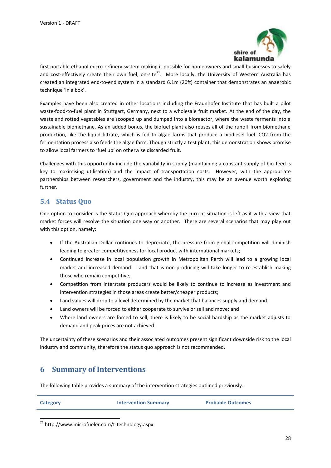

first portable ethanol micro-refinery system making it possible for homeowners and small businesses to safely and cost-effectively create their own fuel, on-site<sup>21</sup>. More locally, the University of Western Australia has created an integrated end-to-end system in a standard 6.1m (20ft) container that demonstrates an anaerobic technique 'in a box'.

Examples have been also created in other locations including the Fraunhofer Institute that has built a pilot waste-food-to-fuel plant in Stuttgart, Germany, next to a wholesale fruit market. At the end of the day, the waste and rotted vegetables are scooped up and dumped into a bioreactor, where the waste ferments into a sustainable biomethane. As an added bonus, the biofuel plant also reuses all of the runoff from biomethane production, like the liquid filtrate, which is fed to algae farms that produce a biodiesel fuel. CO2 from the fermentation process also feeds the algae farm. Though strictly a test plant, this demonstration shows promise to allow local farmers to 'fuel up' on otherwise discarded fruit.

Challenges with this opportunity include the variability in supply (maintaining a constant supply of bio-feed is key to maximising utilisation) and the impact of transportation costs. However, with the appropriate partnerships between researchers, government and the industry, this may be an avenue worth exploring further.

## <span id="page-27-0"></span>**5.4 Status Quo**

One option to consider is the Status Quo approach whereby the current situation is left as it with a view that market forces will resolve the situation one way or another. There are several scenarios that may play out with this option, namely:

- If the Australian Dollar continues to depreciate, the pressure from global competition will diminish leading to greater competitiveness for local product with international markets;
- Continued increase in local population growth in Metropolitan Perth will lead to a growing local market and increased demand. Land that is non-producing will take longer to re-establish making those who remain competitive;
- Competition from interstate producers would be likely to continue to increase as investment and intervention strategies in those areas create better/cheaper products;
- Land values will drop to a level determined by the market that balances supply and demand;
- Land owners will be forced to either cooperate to survive or sell and move; and
- Where land owners are forced to sell, there is likely to be social hardship as the market adjusts to demand and peak prices are not achieved.

The uncertainty of these scenarios and their associated outcomes present significant downside risk to the local industry and community, therefore the status quo approach is not recommended.

# <span id="page-27-1"></span>**6 Summary of Interventions**

The following table provides a summary of the intervention strategies outlined previously:

| Category | <b>Intervention Summary</b> | <b>Probable Outcomes</b> |
|----------|-----------------------------|--------------------------|
|          |                             |                          |

<sup>21</sup> http://www.microfueler.com/t-technology.aspx

1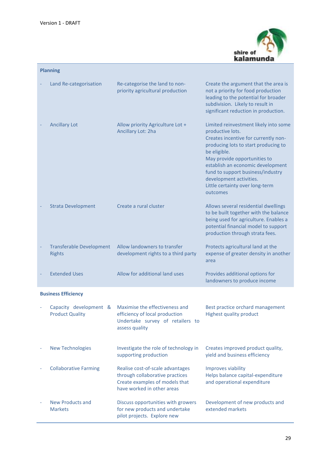

| <b>Planning</b>                                  |                                                                                                                                     |                                                                                                                                                                                                                                                                                                                                               |  |  |  |
|--------------------------------------------------|-------------------------------------------------------------------------------------------------------------------------------------|-----------------------------------------------------------------------------------------------------------------------------------------------------------------------------------------------------------------------------------------------------------------------------------------------------------------------------------------------|--|--|--|
| Land Re-categorisation                           | Re-categorise the land to non-<br>priority agricultural production                                                                  | Create the argument that the area is<br>not a priority for food production<br>leading to the potential for broader<br>subdivision. Likely to result in<br>significant reduction in production.                                                                                                                                                |  |  |  |
| <b>Ancillary Lot</b>                             | Allow priority Agriculture Lot +<br>Ancillary Lot: 2ha                                                                              | Limited reinvestment likely into some<br>productive lots.<br>Creates incentive for currently non-<br>producing lots to start producing to<br>be eligible.<br>May provide opportunities to<br>establish an economic development<br>fund to support business/industry<br>development activities.<br>Little certainty over long-term<br>outcomes |  |  |  |
| <b>Strata Development</b>                        | Create a rural cluster                                                                                                              | Allows several residential dwellings<br>to be built together with the balance<br>being used for agriculture. Enables a<br>potential financial model to support<br>production through strata fees.                                                                                                                                             |  |  |  |
| <b>Transferable Development</b><br><b>Rights</b> | Allow landowners to transfer<br>development rights to a third party                                                                 | Protects agricultural land at the<br>expense of greater density in another<br>area                                                                                                                                                                                                                                                            |  |  |  |
| <b>Extended Uses</b>                             | Allow for additional land uses                                                                                                      | Provides additional options for<br>landowners to produce income                                                                                                                                                                                                                                                                               |  |  |  |
| <b>Business Efficiency</b>                       |                                                                                                                                     |                                                                                                                                                                                                                                                                                                                                               |  |  |  |
| Capacity development &<br><b>Product Quality</b> | Maximise the effectiveness and<br>efficiency of local production<br>Undertake survey of retailers to<br>assess quality              | Best practice orchard management<br>Highest quality product                                                                                                                                                                                                                                                                                   |  |  |  |
| <b>New Technologies</b>                          | Investigate the role of technology in<br>supporting production                                                                      | Creates improved product quality,<br>yield and business efficiency                                                                                                                                                                                                                                                                            |  |  |  |
| <b>Collaborative Farming</b>                     | Realise cost-of-scale advantages<br>through collaborative practices<br>Create examples of models that<br>have worked in other areas | Improves viability<br>Helps balance capital-expenditure<br>and operational expenditure                                                                                                                                                                                                                                                        |  |  |  |
| <b>New Products and</b><br><b>Markets</b>        | Discuss opportunities with growers<br>for new products and undertake<br>pilot projects. Explore new                                 | Development of new products and<br>extended markets                                                                                                                                                                                                                                                                                           |  |  |  |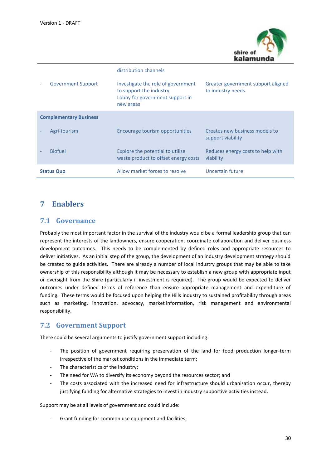

|                               | distribution channels                                                                                         |                                                          |
|-------------------------------|---------------------------------------------------------------------------------------------------------------|----------------------------------------------------------|
| <b>Government Support</b>     | Investigate the role of government<br>to support the industry<br>Lobby for government support in<br>new areas | Greater government support aligned<br>to industry needs. |
| <b>Complementary Business</b> |                                                                                                               |                                                          |
| Agri-tourism                  | Encourage tourism opportunities                                                                               | Creates new business models to<br>support viability      |
| <b>Biofuel</b>                | Explore the potential to utilise<br>waste product to offset energy costs                                      | Reduces energy costs to help with<br>viability           |
| <b>Status Quo</b>             | Allow market forces to resolve                                                                                | Uncertain future                                         |

## <span id="page-29-0"></span>**7 Enablers**

## <span id="page-29-1"></span>**7.1 Governance**

Probably the most important factor in the survival of the industry would be a formal leadership group that can represent the interests of the landowners, ensure cooperation, coordinate collaboration and deliver business development outcomes. This needs to be complemented by defined roles and appropriate resources to deliver initiatives. As an initial step of the group, the development of an industry development strategy should be created to guide activities. There are already a number of local industry groups that may be able to take ownership of this responsibility although it may be necessary to establish a new group with appropriate input or oversight from the Shire (particularly if investment is required). The group would be expected to deliver outcomes under defined terms of reference than ensure appropriate management and expenditure of funding. These terms would be focused upon helping the Hills industry to sustained profitability through areas such as marketing, innovation, advocacy, market information, risk management and environmental responsibility.

## <span id="page-29-2"></span>**7.2 Government Support**

There could be several arguments to justify government support including:

- The position of government requiring preservation of the land for food production longer-term irrespective of the market conditions in the immediate term;
- The characteristics of the industry;
- The need for WA to diversify its economy beyond the resources sector; and
- The costs associated with the increased need for infrastructure should urbanisation occur, thereby justifying funding for alternative strategies to invest in industry supportive activities instead.

Support may be at all levels of government and could include:

Grant funding for common use equipment and facilities;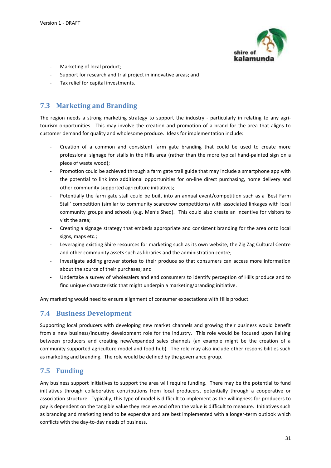

- Marketing of local product;
- Support for research and trial project in innovative areas; and
- Tax relief for capital investments.

## <span id="page-30-0"></span>**7.3 Marketing and Branding**

The region needs a strong marketing strategy to support the industry - particularly in relating to any agritourism opportunities. This may involve the creation and promotion of a brand for the area that aligns to customer demand for quality and wholesome produce. Ideas for implementation include:

- Creation of a common and consistent farm gate branding that could be used to create more professional signage for stalls in the Hills area (rather than the more typical hand-painted sign on a piece of waste wood);
- Promotion could be achieved through a farm gate trail guide that may include a smartphone app with the potential to link into additional opportunities for on-line direct purchasing, home delivery and other community supported agriculture initiatives;
- Potentially the farm gate stall could be built into an annual event/competition such as a 'Best Farm Stall' competition (similar to community scarecrow competitions) with associated linkages with local community groups and schools (e.g. Men's Shed). This could also create an incentive for visitors to visit the area;
- Creating a signage strategy that embeds appropriate and consistent branding for the area onto local signs, maps etc.;
- Leveraging existing Shire resources for marketing such as its own website, the Zig Zag Cultural Centre and other community assets such as libraries and the administration centre;
- Investigate adding grower stories to their produce so that consumers can access more information about the source of their purchases; and
- Undertake a survey of wholesalers and end consumers to identify perception of Hills produce and to find unique characteristic that might underpin a marketing/branding initiative.

Any marketing would need to ensure alignment of consumer expectations with Hills product.

## <span id="page-30-1"></span>**7.4 Business Development**

Supporting local producers with developing new market channels and growing their business would benefit from a new business/industry development role for the industry. This role would be focused upon liaising between producers and creating new/expanded sales channels (an example might be the creation of a community supported agriculture model and food hub). The role may also include other responsibilities such as marketing and branding. The role would be defined by the governance group.

## <span id="page-30-2"></span>**7.5 Funding**

Any business support initiatives to support the area will require funding. There may be the potential to fund initiatives through collaborative contributions from local producers, potentially through a cooperative or association structure. Typically, this type of model is difficult to implement as the willingness for producers to pay is dependent on the tangible value they receive and often the value is difficult to measure. Initiatives such as branding and marketing tend to be expensive and are best implemented with a longer-term outlook which conflicts with the day-to-day needs of business.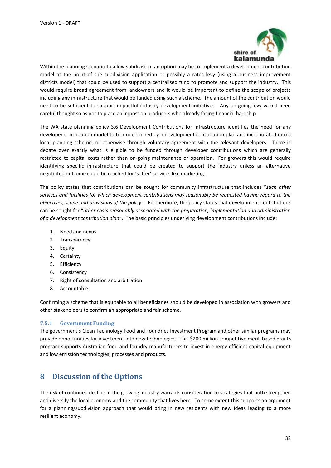

Within the planning scenario to allow subdivision, an option may be to implement a development contribution model at the point of the subdivision application or possibly a rates levy (using a business improvement districts model) that could be used to support a centralised fund to promote and support the industry. This would require broad agreement from landowners and it would be important to define the scope of projects including any infrastructure that would be funded using such a scheme. The amount of the contribution would need to be sufficient to support impactful industry development initiatives. Any on-going levy would need careful thought so as not to place an impost on producers who already facing financial hardship.

The WA state planning policy 3.6 Development Contributions for Infrastructure identifies the need for any developer contribution model to be underpinned by a development contribution plan and incorporated into a local planning scheme, or otherwise through voluntary agreement with the relevant developers. There is debate over exactly what is eligible to be funded through developer contributions which are generally restricted to capital costs rather than on-going maintenance or operation. For growers this would require identifying specific infrastructure that could be created to support the industry unless an alternative negotiated outcome could be reached for 'softer' services like marketing.

The policy states that contributions can be sought for community infrastructure that includes "*such other services and facilities for which development contributions may reasonably be requested having regard to the objectives, scope and provisions of the policy*". Furthermore, the policy states that development contributions can be sought for "*other costs reasonably associated with the preparation, implementation and administration of a development contribution plan*". The basic principles underlying development contributions include:

- 1. Need and nexus
- 2. Transparency
- 3. Equity
- 4. Certainty
- 5. Efficiency
- 6. Consistency
- 7. Right of consultation and arbitration
- 8. Accountable

Confirming a scheme that is equitable to all beneficiaries should be developed in association with growers and other stakeholders to confirm an appropriate and fair scheme.

#### <span id="page-31-0"></span>**7.5.1 Government Funding**

The government's Clean Technology Food and Foundries Investment Program and other similar programs may provide opportunities for investment into new technologies. This \$200 million competitive merit-based grants program supports Australian food and foundry manufacturers to invest in energy efficient capital equipment and low emission technologies, processes and products.

## <span id="page-31-1"></span>**8 Discussion of the Options**

The risk of continued decline in the growing industry warrants consideration to strategies that both strengthen and diversify the local economy and the community that lives here. To some extent this supports an argument for a planning/subdivision approach that would bring in new residents with new ideas leading to a more resilient economy.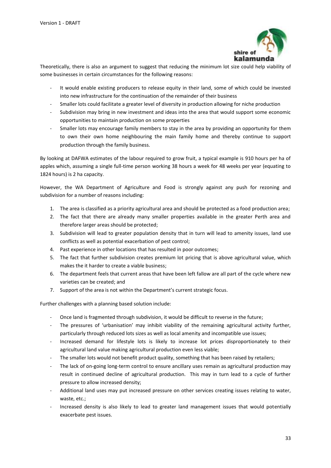

Theoretically, there is also an argument to suggest that reducing the minimum lot size could help viability of some businesses in certain circumstances for the following reasons:

- It would enable existing producers to release equity in their land, some of which could be invested into new infrastructure for the continuation of the remainder of their business
- Smaller lots could facilitate a greater level of diversity in production allowing for niche production
- Subdivision may bring in new investment and ideas into the area that would support some economic opportunities to maintain production on some properties
- Smaller lots may encourage family members to stay in the area by providing an opportunity for them to own their own home neighbouring the main family home and thereby continue to support production through the family business.

By looking at DAFWA estimates of the labour required to grow fruit, a typical example is 910 hours per ha of apples which, assuming a single full-time person working 38 hours a week for 48 weeks per year (equating to 1824 hours) is 2 ha capacity.

However, the WA Department of Agriculture and Food is strongly against any push for rezoning and subdivision for a number of reasons including:

- 1. The area is classified as a priority agricultural area and should be protected as a food production area;
- 2. The fact that there are already many smaller properties available in the greater Perth area and therefore larger areas should be protected;
- 3. Subdivision will lead to greater population density that in turn will lead to amenity issues, land use conflicts as well as potential exacerbation of pest control;
- 4. Past experience in other locations that has resulted in poor outcomes;
- 5. The fact that further subdivision creates premium lot pricing that is above agricultural value, which makes the it harder to create a viable business;
- 6. The department feels that current areas that have been left fallow are all part of the cycle where new varieties can be created; and
- 7. Support of the area is not within the Department's current strategic focus.

Further challenges with a planning based solution include:

- Once land is fragmented through subdivision, it would be difficult to reverse in the future;
- The pressures of 'urbanisation' may inhibit viability of the remaining agricultural activity further, particularly through reduced lots sizes as well as local amenity and incompatible use issues;
- Increased demand for lifestyle lots is likely to increase lot prices disproportionately to their agricultural land value making agricultural production even less viable;
- The smaller lots would not benefit product quality, something that has been raised by retailers;
- The lack of on-going long-term control to ensure ancillary uses remain as agricultural production may result in continued decline of agricultural production. This may in turn lead to a cycle of further pressure to allow increased density;
- Additional land uses may put increased pressure on other services creating issues relating to water, waste, etc.;
- Increased density is also likely to lead to greater land management issues that would potentially exacerbate pest issues.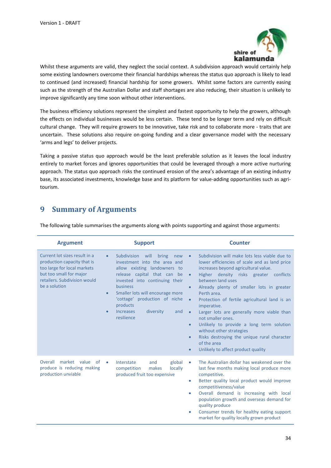

Whilst these arguments are valid, they neglect the social context. A subdivision approach would certainly help some existing landowners overcome their financial hardships whereas the status quo approach is likely to lead to continued (and increased) financial hardship for some growers. Whilst some factors are currently easing such as the strength of the Australian Dollar and staff shortages are also reducing, their situation is unlikely to improve significantly any time soon without other interventions.

The business efficiency solutions represent the simplest and fastest opportunity to help the growers, although the effects on individual businesses would be less certain. These tend to be longer term and rely on difficult cultural change. They will require growers to be innovative, take risk and to collaborate more - traits that are uncertain. These solutions also require on-going funding and a clear governance model with the necessary 'arms and legs' to deliver projects.

Taking a passive status quo approach would be the least preferable solution as it leaves the local industry entirely to market forces and ignores opportunities that could be leveraged through a more active nurturing approach. The status quo approach risks the continued erosion of the area's advantage of an existing industry base, its associated investments, knowledge base and its platform for value-adding opportunities such as agritourism.

# <span id="page-33-0"></span>**9 Summary of Arguments**

The following table summarises the arguments along with points supporting and against those arguments:

| <b>Argument</b>                                                                                                                                                         | <b>Support</b>                                                                                                                                                                                                                                                                                                                                                    | <b>Counter</b>                                                                                                                                                                                                                                                                                                                                                                                                                                                                                                                                                                                                                                                                           |  |  |
|-------------------------------------------------------------------------------------------------------------------------------------------------------------------------|-------------------------------------------------------------------------------------------------------------------------------------------------------------------------------------------------------------------------------------------------------------------------------------------------------------------------------------------------------------------|------------------------------------------------------------------------------------------------------------------------------------------------------------------------------------------------------------------------------------------------------------------------------------------------------------------------------------------------------------------------------------------------------------------------------------------------------------------------------------------------------------------------------------------------------------------------------------------------------------------------------------------------------------------------------------------|--|--|
| Current lot sizes result in a<br>production capacity that is<br>too large for local markets<br>but too small for major<br>retailers. Subdivision would<br>be a solution | Subdivision<br>will<br>bring<br>$\bullet$<br>new<br>investment into the area and<br>allow existing landowners to<br>release capital that can<br>be<br>invested into continuing their<br>business<br>Smaller lots will encourage more<br>$\bullet$<br>'cottage' production of niche<br>products<br><b>Increases</b><br>diversity<br>and<br>$\bullet$<br>resilience | Subdivision will make lots less viable due to<br>$\bullet$<br>lower efficiencies of scale and as land price<br>increases beyond agricultural value.<br>Higher density risks greater conflicts<br>$\bullet$<br>between land uses<br>Already plenty of smaller lots in greater<br>$\bullet$<br>Perth area.<br>Protection of fertile agricultural land is an<br>$\bullet$<br>imperative.<br>Larger lots are generally more viable than<br>$\bullet$<br>not smaller ones.<br>Unlikely to provide a long term solution<br>$\bullet$<br>without other strategies<br>Risks destroying the unique rural character<br>$\bullet$<br>of the area<br>Unlikely to affect product quality<br>$\bullet$ |  |  |
| market value<br>Overall<br>of<br>produce is reducing making<br>production unviable                                                                                      | Interstate<br>and<br>global<br>$\bullet$<br>competition<br>makes<br>locally<br>produced fruit too expensive                                                                                                                                                                                                                                                       | The Australian dollar has weakened over the<br>۰<br>last few months making local produce more<br>competitive.<br>Better quality local product would improve<br>$\bullet$<br>competitiveness/value<br>Overall demand is increasing with local<br>۰<br>population growth and overseas demand for<br>quality produce<br>Consumer trends for healthy eating support<br>۰<br>market for quality locally grown product                                                                                                                                                                                                                                                                         |  |  |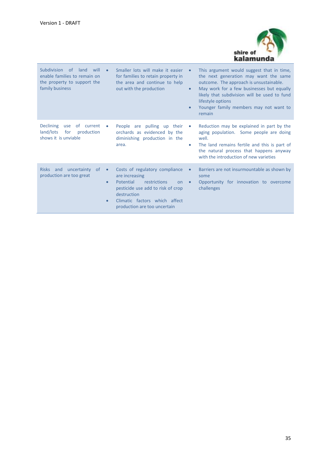

| <b>Subdivision</b><br>of<br>land<br>will<br>enable families to remain on<br>the property to support the<br>family business |                                     | Smaller lots will make it easier<br>for families to retain property in<br>the area and continue to help<br>out with the production                                                                       | $\bullet$<br>$\bullet$<br>$\bullet$ | This argument would suggest that in time,<br>the next generation may want the same<br>outcome. The approach is unsustainable.<br>May work for a few businesses but equally<br>likely that subdivision will be used to fund<br>lifestyle options<br>Younger family members may not want to<br>remain |
|----------------------------------------------------------------------------------------------------------------------------|-------------------------------------|----------------------------------------------------------------------------------------------------------------------------------------------------------------------------------------------------------|-------------------------------------|-----------------------------------------------------------------------------------------------------------------------------------------------------------------------------------------------------------------------------------------------------------------------------------------------------|
| <b>Declining</b><br>of current<br>use<br>land/lots<br>production<br>for<br>shows it is unviable                            | ۰                                   | People are pulling up their<br>orchards as evidenced by the<br>diminishing production in the<br>area.                                                                                                    | $\bullet$<br>$\bullet$              | Reduction may be explained in part by the<br>aging population. Some people are doing<br>well.<br>The land remains fertile and this is part of<br>the natural process that happens anyway<br>with the introduction of new varieties                                                                  |
| Risks and<br>uncertainty<br>of<br>production are too great                                                                 | $\bullet$<br>$\bullet$<br>$\bullet$ | Costs of regulatory compliance<br>are increasing<br>Potential<br>restrictions<br>on<br>pesticide use add to risk of crop<br>destruction<br>Climatic factors which affect<br>production are too uncertain | $\bullet$<br>$\bullet$              | Barriers are not insurmountable as shown by<br>some<br>Opportunity for innovation to overcome<br>challenges                                                                                                                                                                                         |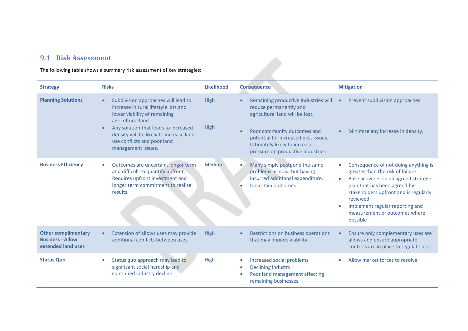## **9.1 Risk Assessment**

The following table shows a summary risk assessment of key strategies:

<span id="page-35-0"></span>

| <b>Strategy</b>                                                             | <b>Risks</b>                                                                                                                                                                                                                                                                                        | <b>Likelihood</b>          | <b>Consequence</b>                                                                                                                                                                                                                             | <b>Mitigation</b>                                                                                                                                                                                                                                                                                     |
|-----------------------------------------------------------------------------|-----------------------------------------------------------------------------------------------------------------------------------------------------------------------------------------------------------------------------------------------------------------------------------------------------|----------------------------|------------------------------------------------------------------------------------------------------------------------------------------------------------------------------------------------------------------------------------------------|-------------------------------------------------------------------------------------------------------------------------------------------------------------------------------------------------------------------------------------------------------------------------------------------------------|
| <b>Planning Solutions</b>                                                   | Subdivision approaches will lead to<br>$\bullet$<br>increase in rural lifestyle lots and<br>lower viability of remaining<br>agricultural land.<br>Any solution that leads to increased<br>$\bullet$<br>density will be likely to increase land<br>use conflicts and poor land<br>management issues. | <b>High</b><br><b>High</b> | Remaining productive industries will<br>reduce permanently and<br>agricultural land will be lost.<br>Poor community outcomes and<br>potential for increased pest issues.<br>Ultimately likely to increase<br>pressure on productive industries | Prevent subdivision approaches<br>Minimise any increase in density.                                                                                                                                                                                                                                   |
| <b>Business Efficiency</b>                                                  | Outcomes are uncertain, longer term<br>$\bullet$<br>and difficult to quantify upfront.<br>Requires upfront investment and<br>longer term commitment to realise<br>results.                                                                                                                          | <b>Medium</b>              | Many simply postpone the same<br>problems as now, but having<br>incurred additional expenditure.<br>Uncertain outcomes                                                                                                                         | Consequence of not doing anything is<br>greater than the risk of failure.<br>Base activities on an agreed strategic<br>plan that has been agreed by<br>stakeholders upfront and is regularly<br>reviewed<br>Implement regular reporting and<br>$\bullet$<br>measurement of outcomes where<br>possible |
| <b>Other complimentary</b><br><b>Business - Allow</b><br>extended land uses | Extension of allows uses may provide<br>additional conflicts between uses.                                                                                                                                                                                                                          | <b>High</b>                | Restrictions on business operations<br>that may impede viability                                                                                                                                                                               | Ensure only complementary uses are<br>allows and ensure appropriate<br>controls are in place to regulate uses.                                                                                                                                                                                        |
| <b>Status Quo</b>                                                           | Status quo approach may lead to<br>significant social hardship and<br>continued industry decline                                                                                                                                                                                                    | High                       | Increased social problems<br>Declining industry<br>Poor land management affecting<br>remaining businesses                                                                                                                                      | Allow market forces to resolve                                                                                                                                                                                                                                                                        |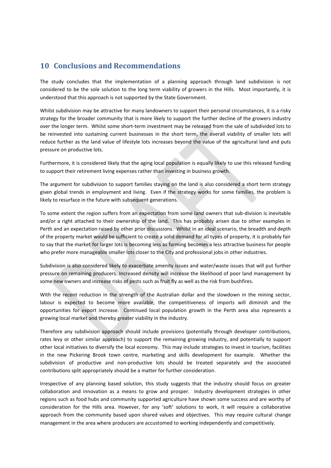## <span id="page-36-0"></span>**10 Conclusions and Recommendations**

The study concludes that the implementation of a planning approach through land subdivision is not considered to be the sole solution to the long term viability of growers in the Hills. Most importantly, it is understood that this approach is not supported by the State Government.

Whilst subdivision may be attractive for many landowners to support their personal circumstances, it is a risky strategy for the broader community that is more likely to support the further decline of the growers industry over the longer term. Whilst some short-term investment may be released from the sale of subdivided lots to be reinvested into sustaining current businesses in the short term, the overall viability of smaller lots will reduce further as the land value of lifestyle lots increases beyond the value of the agricultural land and puts pressure on productive lots.

Furthermore, it is considered likely that the aging local population is equally likely to use this released funding to support their retirement living expenses rather than investing in business growth.

The argument for subdivision to support families staying on the land is also considered a short term strategy given global trends in employment and living. Even if the strategy works for some families, the problem is likely to resurface in the future with subsequent generations.

To some extent the region suffers from an expectation from some land owners that sub-division is inevitable and/or a right attached to their ownership of the land. This has probably arisen due to other examples in Perth and an expectation raised by other prior discussions. Whilst in an ideal scenario, the breadth and depth of the property market would be sufficient to create a solid demand for all types of property, it is probably fair to say that the market for larger lots is becoming less as farming becomes a less attractive business for people who prefer more manageable smaller lots closer to the City and professional jobs in other industries.

Subdivision is also considered likely to exacerbate amenity issues and water/waste issues that will put further pressure on remaining producers. Increased density will increase the likelihood of poor land management by some new owners and increase risks of pests such as fruit fly as well as the risk from bushfires.

With the recent reduction in the strength of the Australian dollar and the slowdown in the mining sector, labour is expected to become more available, the competitiveness of imports will diminish and the opportunities for export increase. Continued local population growth in the Perth area also represents a growing local market and thereby greater viability in the industry.

Therefore any subdivision approach should include provisions (potentially through developer contributions, rates levy or other similar approach) to support the remaining growing industry, and potentially to support other local initiatives to diversify the local economy. This may include strategies to invest in tourism, facilities in the new Pickering Brook town centre, marketing and skills development for example. Whether the subdivision of productive and non-productive lots should be treated separately and the associated contributions split appropriately should be a matter for further consideration.

Irrespective of any planning based solution, this study suggests that the industry should focus on greater collaboration and innovation as a means to grow and prosper. Industry development strategies in other regions such as food hubs and community supported agriculture have shown some success and are worthy of consideration for the Hills area. However, for any 'soft' solutions to work, it will require a collaborative approach from the community based upon shared values and objectives. This may require cultural change management in the area where producers are accustomed to working independently and competitively.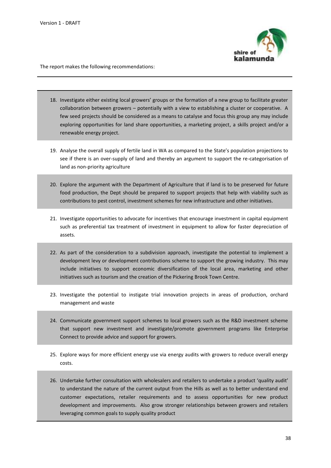

The report makes the following recommendations:

- 18. Investigate either existing local growers' groups or the formation of a new group to facilitate greater collaboration between growers – potentially with a view to establishing a cluster or cooperative. A few seed projects should be considered as a means to catalyse and focus this group any may include exploring opportunities for land share opportunities, a marketing project, a skills project and/or a renewable energy project.
- 19. Analyse the overall supply of fertile land in WA as compared to the State's population projections to see if there is an over-supply of land and thereby an argument to support the re-categorisation of land as non-priority agriculture
- 20. Explore the argument with the Department of Agriculture that if land is to be preserved for future food production, the Dept should be prepared to support projects that help with viability such as contributions to pest control, investment schemes for new infrastructure and other initiatives.
- 21. Investigate opportunities to advocate for incentives that encourage investment in capital equipment such as preferential tax treatment of investment in equipment to allow for faster depreciation of assets.
- 22. As part of the consideration to a subdivision approach, investigate the potential to implement a development levy or development contributions scheme to support the growing industry. This may include initiatives to support economic diversification of the local area, marketing and other initiatives such as tourism and the creation of the Pickering Brook Town Centre.
- 23. Investigate the potential to instigate trial innovation projects in areas of production, orchard management and waste
- 24. Communicate government support schemes to local growers such as the R&D investment scheme that support new investment and investigate/promote government programs like Enterprise Connect to provide advice and support for growers.
- 25. Explore ways for more efficient energy use via energy audits with growers to reduce overall energy costs.
- 26. Undertake further consultation with wholesalers and retailers to undertake a product 'quality audit' to understand the nature of the current output from the Hills as well as to better understand end customer expectations, retailer requirements and to assess opportunities for new product development and improvements. Also grow stronger relationships between growers and retailers leveraging common goals to supply quality product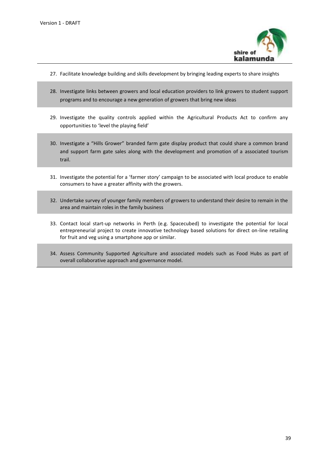

- 27. Facilitate knowledge building and skills development by bringing leading experts to share insights
- 28. Investigate links between growers and local education providers to link growers to student support programs and to encourage a new generation of growers that bring new ideas
- 29. Investigate the quality controls applied within the Agricultural Products Act to confirm any opportunities to 'level the playing field'
- 30. Investigate a "Hills Grower" branded farm gate display product that could share a common brand and support farm gate sales along with the development and promotion of a associated tourism trail.
- 31. Investigate the potential for a 'farmer story' campaign to be associated with local produce to enable consumers to have a greater affinity with the growers.
- 32. Undertake survey of younger family members of growers to understand their desire to remain in the area and maintain roles in the family business
- 33. Contact local start-up networks in Perth (e.g. Spacecubed) to investigate the potential for local entrepreneurial project to create innovative technology based solutions for direct on-line retailing for fruit and veg using a smartphone app or similar.
- 34. Assess Community Supported Agriculture and associated models such as Food Hubs as part of overall collaborative approach and governance model.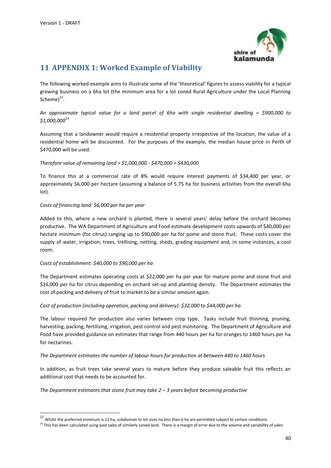

# <span id="page-39-0"></span>**11 APPENDIX 1: Worked Example of Viability**

The following worked example aims to illustrate some of the 'theoretical' figures to assess viability for a typical growing business on a 6ha lot (the minimum area for a lot zoned Rural Agriculture under the Local Planning Scheme)<sup>22</sup>.

*An approximate typical value for a land parcel of 6ha with single residential dwelling = \$900,000 to \$1,000,000*<sup>23</sup>

Assuming that a landowner would require a residential property irrespective of the location, the value of a residential home will be discounted. For the purposes of the example, the median house price in Perth of \$470,000 will be used.

### *Therefore value of remaining land = \$1,000,000 - \$470,000 = \$430,000*

To finance this at a commercial rate of 8% would require interest payments of \$34,400 per year, or approximately \$6,000 per hectare (assuming a balance of 5.75 ha for business activities from the overall 6ha lot).

### *Costs of financing land: \$6,000 per ha per year*

Added to this, where a new orchard is planted, there is several years' delay before the orchard becomes productive. The WA Department of Agriculture and Food estimate development costs upwards of \$40,000 per hectare minimum (for citrus) ranging up to \$90,000 per ha for pome and stone fruit. These costs cover the supply of water, irrigation, trees, trellising, netting, sheds, grading equipment and, in some instances, a cool room.

### *Costs of establishment: \$40,000 to \$90,000 per ha*

1

The Department estimates operating costs at \$22,000 per ha per year for mature pome and stone fruit and \$16,000 per ha for citrus depending on orchard set-up and planting density. The Department estimates the cost of packing and delivery of fruit to market to be a similar amount again.

### *Cost of production (including operation, packing and delivery): \$32,000 to \$44,000 per ha*

The labour required for production also varies between crop type. Tasks include fruit thinning, pruning, harvesting, packing, fertilising, irrigation, pest control and pest monitoring. The Department of Agriculture and Food have provided guidance on estimates that range from 440 hours per ha for oranges to 1460 hours per ha for nectarines.

### *The Department estimates the number of labour hours for production at between 440 to 1460 hours*

In addition, as fruit trees take several years to mature before they produce saleable fruit this reflects an additional cost that needs to be accounted for.

*The Department estimates that stone fruit may take 2 – 3 years before becoming productive*

<sup>&</sup>lt;sup>22</sup> Whilst the preferred minimum is 12 ha, subdivision to lot sizes no less than 6 ha are permitted subject to certain conditions

<sup>&</sup>lt;sup>23</sup> This has been calculated using past sales of similarly zoned land. There is a margin of error due to the volume and variability of sales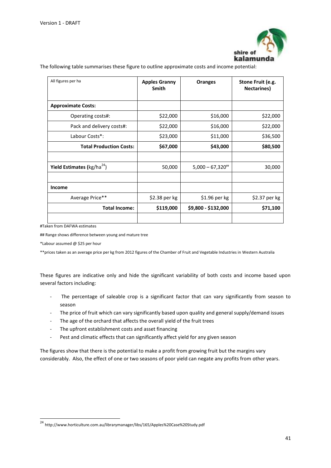

The following table summarises these figure to outline approximate costs and income potential:

| All figures per ha                             | <b>Apples Granny</b><br><b>Smith</b> | <b>Oranges</b>        | Stone Fruit (e.g.<br><b>Nectarines</b> ) |
|------------------------------------------------|--------------------------------------|-----------------------|------------------------------------------|
| <b>Approximate Costs:</b>                      |                                      |                       |                                          |
| Operating costs#:                              | \$22,000                             | \$16,000              | \$22,000                                 |
| Pack and delivery costs#:                      | \$22,000                             | \$16,000              | \$22,000                                 |
| Labour Costs*:                                 | \$23,000                             | \$11,000              | \$36,500                                 |
| <b>Total Production Costs:</b>                 | \$67,000                             | \$43,000              | \$80,500                                 |
|                                                |                                      |                       |                                          |
| <b>Yield Estimates (</b> kg/ha <sup>24</sup> ) | 50,000                               | $5,000 - 67,320^{**}$ | 30,000                                   |
|                                                |                                      |                       |                                          |
| Income                                         |                                      |                       |                                          |
| Average Price**                                | \$2.38 per kg                        | $$1.96$ per kg        | \$2.37 per kg                            |
| <b>Total Income:</b>                           | \$119,000                            | \$9,800 - \$132,000   | \$71,100                                 |
|                                                |                                      |                       |                                          |

#Taken from DAFWA estimates

## Range shows difference between young and mature tree

\*Labour assumed @ \$25 per hour

1

\*\*prices taken as an average price per kg from 2012 figures of the Chamber of Fruit and Vegetable Industries in Western Australia

These figures are indicative only and hide the significant variability of both costs and income based upon several factors including:

- The percentage of saleable crop is a significant factor that can vary significantly from season to season
- The price of fruit which can vary significantly based upon quality and general supply/demand issues
- The age of the orchard that affects the overall yield of the fruit trees
- The upfront establishment costs and asset financing
- Pest and climatic effects that can significantly affect yield for any given season

The figures show that there is the potential to make a profit from growing fruit but the margins vary considerably. Also, the effect of one or two seasons of poor yield can negate any profits from other years.

<sup>&</sup>lt;sup>24</sup> http://www.horticulture.com.au/librarymanager/libs/165/Apples%20Case%20Study.pdf